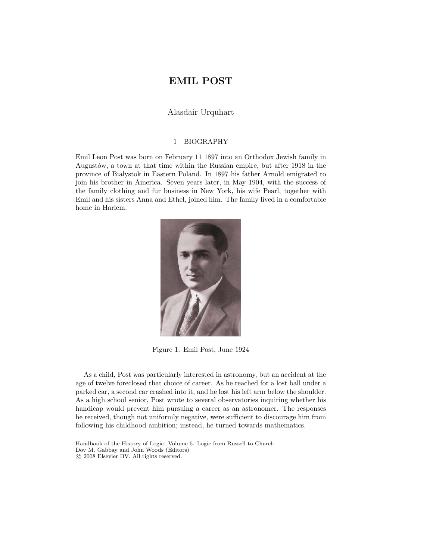# **EMIL POST**

# Alasdair Urquhart

### 1 BIOGRAPHY

Emil Leon Post was born on February 11 1897 into an Orthodox Jewish family in Augustów, a town at that time within the Russian empire, but after 1918 in the province of Białystok in Eastern Poland. In 1897 his father Arnold emigrated to join his brother in America. Seven years later, in May 1904, with the success of the family clothing and fur business in New York, his wife Pearl, together with Emil and his sisters Anna and Ethel, joined him. The family lived in a comfortable home in Harlem.



Figure 1. Emil Post, June 1924

As a child, Post was particularly interested in astronomy, but an accident at the age of twelve foreclosed that choice of career. As he reached for a lost ball under a parked car, a second car crashed into it, and he lost his left arm below the shoulder. As a high school senior, Post wrote to several observatories inquiring whether his handicap would prevent him pursuing a career as an astronomer. The responses he received, though not uniformly negative, were sufficient to discourage him from following his childhood ambition; instead, he turned towards mathematics.

Handbook of the History of Logic. Volume 5. Logic from Russell to Church Dov M. Gabbay and John Woods (Editors) -c 2008 Elsevier BV. All rights reserved.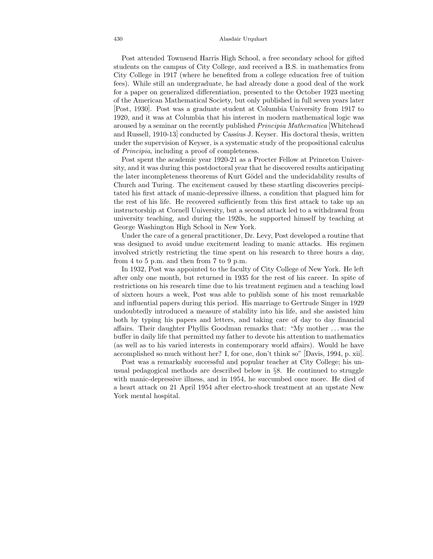Post attended Townsend Harris High School, a free secondary school for gifted students on the campus of City College, and received a B.S. in mathematics from City College in 1917 (where he benefited from a college education free of tuition fees). While still an undergraduate, he had already done a good deal of the work for a paper on generalized differentiation, presented to the October 1923 meeting of the American Mathematical Society, but only published in full seven years later [Post, 1930]. Post was a graduate student at Columbia University from 1917 to 1920, and it was at Columbia that his interest in modern mathematical logic was aroused by a seminar on the recently published *Principia Mathematica* [Whitehead and Russell, 1910-13] conducted by Cassius J. Keyser. His doctoral thesis, written under the supervision of Keyser, is a systematic study of the propositional calculus of *Principia*, including a proof of completeness.

Post spent the academic year 1920-21 as a Procter Fellow at Princeton University, and it was during this postdoctoral year that he discovered results anticipating the later incompleteness theorems of Kurt Gödel and the undecidability results of Church and Turing. The excitement caused by these startling discoveries precipitated his first attack of manic-depressive illness, a condition that plagued him for the rest of his life. He recovered sufficiently from this first attack to take up an instructorship at Cornell University, but a second attack led to a withdrawal from university teaching, and during the 1920s, he supported himself by teaching at George Washington High School in New York.

Under the care of a general practitioner, Dr. Levy, Post developed a routine that was designed to avoid undue excitement leading to manic attacks. His regimen involved strictly restricting the time spent on his research to three hours a day, from 4 to 5 p.m. and then from 7 to 9 p.m.

In 1932, Post was appointed to the faculty of City College of New York. He left after only one month, but returned in 1935 for the rest of his career. In spite of restrictions on his research time due to his treatment regimen and a teaching load of sixteen hours a week, Post was able to publish some of his most remarkable and influential papers during this period. His marriage to Gertrude Singer in 1929 undoubtedly introduced a measure of stability into his life, and she assisted him both by typing his papers and letters, and taking care of day to day financial affairs. Their daughter Phyllis Goodman remarks that: "My mother . . . was the buffer in daily life that permitted my father to devote his attention to mathematics (as well as to his varied interests in contemporary world affairs). Would he have accomplished so much without her? I, for one, don't think so" [Davis, 1994, p. xii].

Post was a remarkably successful and popular teacher at City College; his unusual pedagogical methods are described below in  $\S$ . He continued to struggle with manic-depressive illness, and in 1954, he succumbed once more. He died of a heart attack on 21 April 1954 after electro-shock treatment at an upstate New York mental hospital.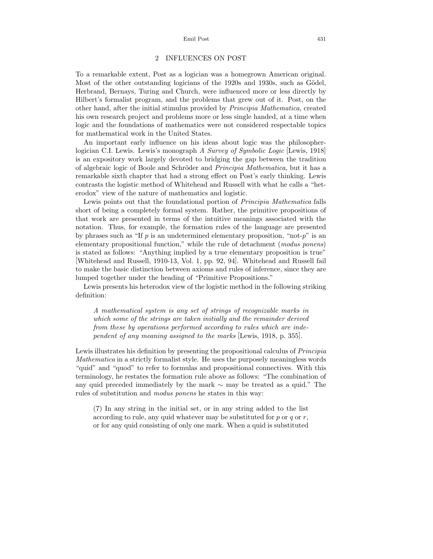### 2 INFLUENCES ON POST

To a remarkable extent, Post as a logician was a homegrown American original. Most of the other outstanding logicians of the 1920s and 1930s, such as Gödel, Herbrand, Bernays, Turing and Church, were influenced more or less directly by Hilbert's formalist program, and the problems that grew out of it. Post, on the other hand, after the initial stimulus provided by *Principia Mathematica*, created his own research project and problems more or less single handed, at a time when logic and the foundations of mathematics were not considered respectable topics for mathematical work in the United States.

An important early influence on his ideas about logic was the philosopherlogician C.I. Lewis. Lewis's monograph *A Survey of Symbolic Logic* [Lewis, 1918] is an expository work largely devoted to bridging the gap between the tradition of algebraic logic of Boole and Schröder and *Principia Mathematica*, but it has a remarkable sixth chapter that had a strong effect on Post's early thinking. Lewis contrasts the logistic method of Whitehead and Russell with what he calls a "heterodox" view of the nature of mathematics and logistic.

Lewis points out that the foundational portion of *Principia Mathematica* falls short of being a completely formal system. Rather, the primitive propositions of that work are presented in terms of the intuitive meanings associated with the notation. Thus, for example, the formation rules of the language are presented by phrases such as "If  $p$  is an undetermined elementary proposition, "not- $p$ " is an elementary propositional function," while the rule of detachment (*modus ponens*) is stated as follows: "Anything implied by a true elementary proposition is true" [Whitehead and Russell, 1910-13, Vol. 1, pp. 92, 94]. Whitehead and Russell fail to make the basic distinction between axioms and rules of inference, since they are lumped together under the heading of "Primitive Propositions."

Lewis presents his heterodox view of the logistic method in the following striking definition:

*A mathematical system is any set of strings of recognizable marks in which some of the strings are taken initially and the remainder derived from these by operations performed according to rules which are independent of any meaning assigned to the marks* [Lewis, 1918, p. 355].

Lewis illustrates his definition by presenting the propositional calculus of *Principia Mathematica* in a strictly formalist style. He uses the purposely meaningless words "quid" and "quod" to refer to formulas and propositional connectives. With this terminology, he restates the formation rule above as follows: "The combination of any quid preceded immediately by the mark ∼ may be treated as a quid." The rules of substitution and *modus ponens* he states in this way:

(7) In any string in the initial set, or in any string added to the list according to rule, any quid whatever may be substituted for p or q or r, or for any quid consisting of only one mark. When a quid is substituted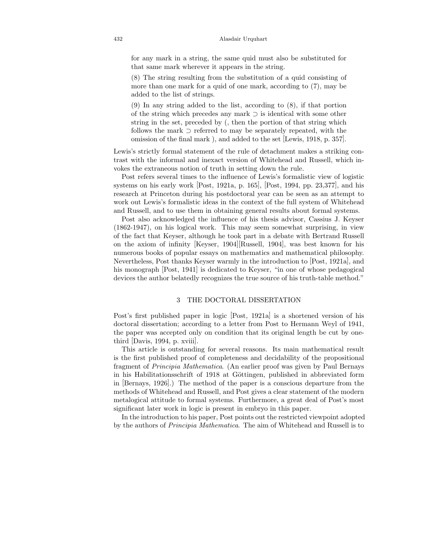for any mark in a string, the same quid must also be substituted for that same mark wherever it appears in the string.

(8) The string resulting from the substitution of a quid consisting of more than one mark for a quid of one mark, according to (7), may be added to the list of strings.

(9) In any string added to the list, according to (8), if that portion of the string which precedes any mark ⊃ is identical with some other string in the set, preceded by (, then the portion of that string which follows the mark ⊃ referred to may be separately repeated, with the omission of the final mark ), and added to the set [Lewis, 1918, p. 357].

Lewis's strictly formal statement of the rule of detachment makes a striking contrast with the informal and inexact version of Whitehead and Russell, which invokes the extraneous notion of truth in setting down the rule.

Post refers several times to the influence of Lewis's formalistic view of logistic systems on his early work [Post, 1921a, p. 165], [Post, 1994, pp. 23,377], and his research at Princeton during his postdoctoral year can be seen as an attempt to work out Lewis's formalistic ideas in the context of the full system of Whitehead and Russell, and to use them in obtaining general results about formal systems.

Post also acknowledged the influence of his thesis advisor, Cassius J. Keyser (1862-1947), on his logical work. This may seem somewhat surprising, in view of the fact that Keyser, although he took part in a debate with Bertrand Russell on the axiom of infinity [Keyser, 1904][Russell, 1904], was best known for his numerous books of popular essays on mathematics and mathematical philosophy. Nevertheless, Post thanks Keyser warmly in the introduction to [Post, 1921a], and his monograph [Post, 1941] is dedicated to Keyser, "in one of whose pedagogical devices the author belatedly recognizes the true source of his truth-table method."

### 3 THE DOCTORAL DISSERTATION

Post's first published paper in logic [Post, 1921a] is a shortened version of his doctoral dissertation; according to a letter from Post to Hermann Weyl of 1941, the paper was accepted only on condition that its original length be cut by onethird [Davis, 1994, p. xviii].

This article is outstanding for several reasons. Its main mathematical result is the first published proof of completeness and decidability of the propositional fragment of *Principia Mathematica*. (An earlier proof was given by Paul Bernays in his Habilitations schrift of 1918 at Göttingen, published in abbreviated form in [Bernays, 1926].) The method of the paper is a conscious departure from the methods of Whitehead and Russell, and Post gives a clear statement of the modern metalogical attitude to formal systems. Furthermore, a great deal of Post's most significant later work in logic is present in embryo in this paper.

In the introduction to his paper, Post points out the restricted viewpoint adopted by the authors of *Principia Mathematica*. The aim of Whitehead and Russell is to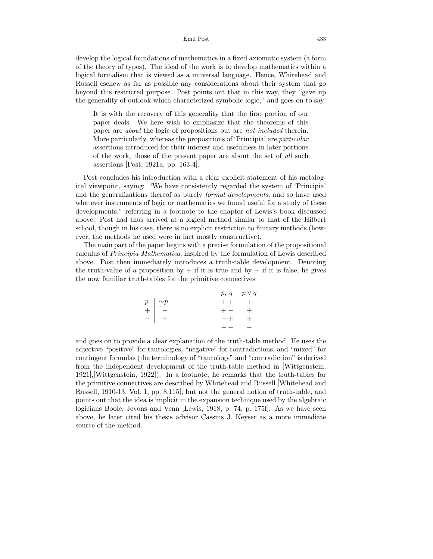develop the logical foundations of mathematics in a fixed axiomatic system (a form of the theory of types). The ideal of the work is to develop mathematics within a logical formalism that is viewed as a universal language. Hence, Whitehead and Russell eschew as far as possible any considerations about their system that go beyond this restricted purpose. Post points out that in this way, they "gave up the generality of outlook which characterized symbolic logic," and goes on to say:

It is with the recovery of this generality that the first portion of our paper deals. We here wish to emphasize that the theorems of this paper are *about* the logic of propositions but are *not included* therein. More particularly, whereas the propositions of 'Principia' are *particular* assertions introduced for their interest and usefulness in later portions of the work, those of the present paper are about the set of *all* such assertions [Post, 1921a, pp. 163-4].

Post concludes his introduction with a clear explicit statement of his metalogical viewpoint, saying: "We have consistently regarded the system of 'Principia' and the generalizations thereof as purely *formal developments*, and so have used whatever instruments of logic or mathematics we found useful for a study of these developments," referring in a footnote to the chapter of Lewis's book discussed above. Post had thus arrived at a logical method similar to that of the Hilbert school, though in his case, there is no explicit restriction to finitary methods (however, the methods he used were in fact mostly constructive).

The main part of the paper begins with a precise formulation of the propositional calculus of *Principia Mathematica*, inspired by the formulation of Lewis described above. Post then immediately introduces a truth-table development. Denoting the truth-value of a proposition by  $+$  if it is true and by  $-$  if it is false, he gives the now familiar truth-tables for the primitive connectives

|     |                 |      | $p, q \mid p \vee q$ |
|-----|-----------------|------|----------------------|
|     | $p \mid \sim p$ | $++$ |                      |
|     |                 |      |                      |
| $-$ |                 |      |                      |
|     |                 |      |                      |

and goes on to provide a clear explanation of the truth-table method. He uses the adjective "positive" for tautologies, "negative" for contradictions, and "mixed" for contingent formulas (the terminology of "tautology" and "contradiction" is derived from the independent development of the truth-table method in [Wittgenstein, 1921],[Wittgenstein, 1922]). In a footnote, he remarks that the truth-tables for the primitive connectives are described by Whitehead and Russell [Whitehead and Russell, 1910-13, Vol. 1, pp. 8,115], but not the general notion of truth-table, and points out that the idea is implicit in the expansion technique used by the algebraic logicians Boole, Jevons and Venn [Lewis, 1918, p. 74, p. 175f]. As we have seen above, he later cited his thesis advisor Cassius J. Keyser as a more immediate source of the method.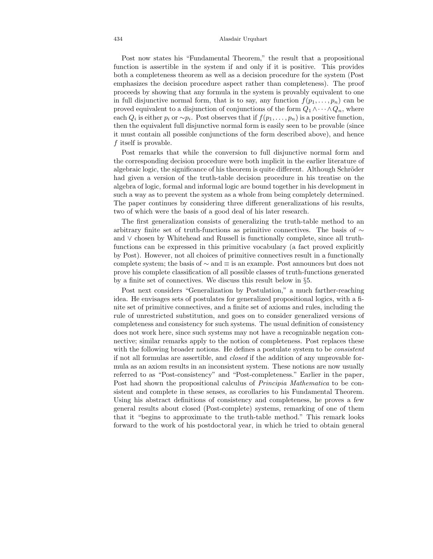#### 434 Alasdair Urquhart

Post now states his "Fundamental Theorem," the result that a propositional function is assertible in the system if and only if it is positive. This provides both a completeness theorem as well as a decision procedure for the system (Post emphasizes the decision procedure aspect rather than completeness). The proof proceeds by showing that any formula in the system is provably equivalent to one in full disjunctive normal form, that is to say, any function  $f(p_1,...,p_n)$  can be proved equivalent to a disjunction of conjunctions of the form  $Q_1 \wedge \cdots \wedge Q_n$ , where each  $Q_i$  is either  $p_i$  or  $\sim p_i$ . Post observes that if  $f(p_1,\ldots,p_n)$  is a positive function, then the equivalent full disjunctive normal form is easily seen to be provable (since it must contain all possible conjunctions of the form described above), and hence f itself is provable.

Post remarks that while the conversion to full disjunctive normal form and the corresponding decision procedure were both implicit in the earlier literature of algebraic logic, the significance of his theorem is quite different. Although Schröder had given a version of the truth-table decision procedure in his treatise on the algebra of logic, formal and informal logic are bound together in his development in such a way as to prevent the system as a whole from being completely determined. The paper continues by considering three different generalizations of his results, two of which were the basis of a good deal of his later research.

The first generalization consists of generalizing the truth-table method to an arbitrary finite set of truth-functions as primitive connectives. The basis of  $\sim$ and ∨ chosen by Whitehead and Russell is functionally complete, since all truthfunctions can be expressed in this primitive vocabulary (a fact proved explicitly by Post). However, not all choices of primitive connectives result in a functionally complete system; the basis of ∼ and ≡ is an example. Post announces but does not prove his complete classification of all possible classes of truth-functions generated by a finite set of connectives. We discuss this result below in §5.

Post next considers "Generalization by Postulation," a much farther-reaching idea. He envisages sets of postulates for generalized propositional logics, with a finite set of primitive connectives, and a finite set of axioms and rules, including the rule of unrestricted substitution, and goes on to consider generalized versions of completeness and consistency for such systems. The usual definition of consistency does not work here, since such systems may not have a recognizable negation connective; similar remarks apply to the notion of completeness. Post replaces these with the following broader notions. He defines a postulate system to be *consistent* if not all formulas are assertible, and *closed* if the addition of any unprovable formula as an axiom results in an inconsistent system. These notions are now usually referred to as "Post-consistency" and "Post-completeness." Earlier in the paper, Post had shown the propositional calculus of *Principia Mathematica* to be consistent and complete in these senses, as corollaries to his Fundamental Theorem. Using his abstract definitions of consistency and completeness, he proves a few general results about closed (Post-complete) systems, remarking of one of them that it "begins to approximate to the truth-table method." This remark looks forward to the work of his postdoctoral year, in which he tried to obtain general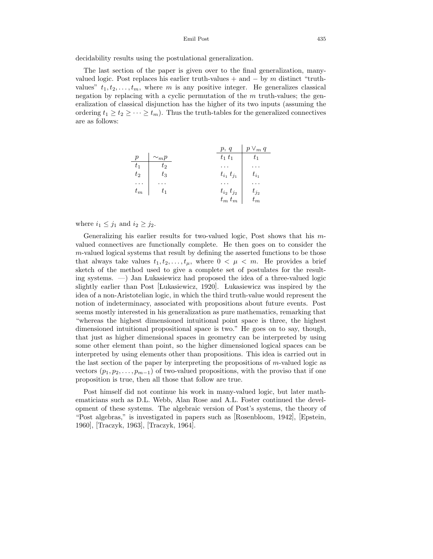decidability results using the postulational generalization.

The last section of the paper is given over to the final generalization, manyvalued logic. Post replaces his earlier truth-values + and  $-$  by m distinct "truthvalues"  $t_1, t_2, \ldots, t_m$ , where m is any positive integer. He generalizes classical negation by replacing with a cyclic permutation of the m truth-values; the generalization of classical disjunction has the higher of its two inputs (assuming the ordering  $t_1 \geq t_2 \geq \cdots \geq t_m$ . Thus the truth-tables for the generalized connectives are as follows:

|         |            | q                      | $\boldsymbol{p}$<br>q<br>$\vee$ m |
|---------|------------|------------------------|-----------------------------------|
|         | $\sim_m p$ | $t_1$ $t_1$            | $t_{1}$                           |
| $t_{1}$ | t2         |                        |                                   |
| $t_2$   | $t_{3}$    | $t_{i_1}$<br>$t_{j_1}$ | $t_{i_1}$                         |
|         |            |                        |                                   |
| $t_{m}$ |            | $t_{i_2}$<br>$t_{j_2}$ | $\cdot j_2$                       |
|         |            | $t_m$<br>$t_m$         | $\overline{m}$                    |

### where  $i_1 \leq j_1$  and  $i_2 \geq j_2$ .

Generalizing his earlier results for two-valued logic, Post shows that his mvalued connectives are functionally complete. He then goes on to consider the m-valued logical systems that result by defining the asserted functions to be those that always take values  $t_1, t_2, \ldots, t_{\mu}$ , where  $0 < \mu < m$ . He provides a brief sketch of the method used to give a complete set of postulates for the resulting systems.  $-$ ) Jan Lukasiewicz had proposed the idea of a three-valued logic slightly earlier than Post [Lukasiewicz, 1920]. Lukasiewicz was inspired by the idea of a non-Aristotelian logic, in which the third truth-value would represent the notion of indeterminacy, associated with propositions about future events. Post seems mostly interested in his generalization as pure mathematics, remarking that "whereas the highest dimensioned intuitional point space is three, the highest dimensioned intuitional propositional space is two." He goes on to say, though, that just as higher dimensional spaces in geometry can be interpreted by using some other element than point, so the higher dimensioned logical spaces can be interpreted by using elements other than propositions. This idea is carried out in the last section of the paper by interpreting the propositions of  $m$ -valued logic as vectors  $(p_1, p_2, \ldots, p_{m-1})$  of two-valued propositions, with the proviso that if one proposition is true, then all those that follow are true.

Post himself did not continue his work in many-valued logic, but later mathematicians such as D.L. Webb, Alan Rose and A.L. Foster continued the development of these systems. The algebraic version of Post's systems, the theory of "Post algebras," is investigated in papers such as [Rosenbloom, 1942], [Epstein, 1960], [Traczyk, 1963], [Traczyk, 1964].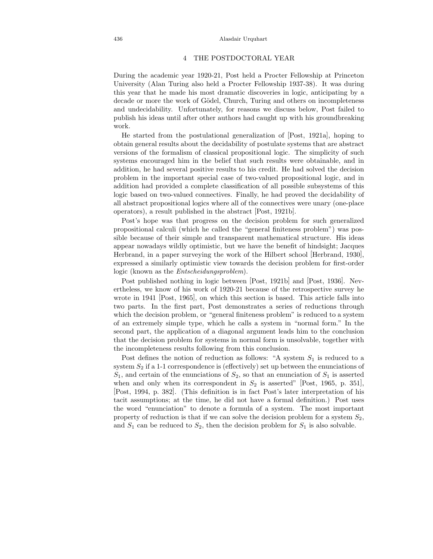### 4 THE POSTDOCTORAL YEAR

During the academic year 1920-21, Post held a Procter Fellowship at Princeton University (Alan Turing also held a Procter Fellowship 1937-38). It was during this year that he made his most dramatic discoveries in logic, anticipating by a decade or more the work of Gödel, Church, Turing and others on incompleteness and undecidability. Unfortunately, for reasons we discuss below, Post failed to publish his ideas until after other authors had caught up with his groundbreaking work.

He started from the postulational generalization of [Post, 1921a], hoping to obtain general results about the decidability of postulate systems that are abstract versions of the formalism of classical propositional logic. The simplicity of such systems encouraged him in the belief that such results were obtainable, and in addition, he had several positive results to his credit. He had solved the decision problem in the important special case of two-valued propositional logic, and in addition had provided a complete classification of all possible subsystems of this logic based on two-valued connectives. Finally, he had proved the decidability of all abstract propositional logics where all of the connectives were unary (one-place operators), a result published in the abstract [Post, 1921b].

Post's hope was that progress on the decision problem for such generalized propositional calculi (which he called the "general finiteness problem") was possible because of their simple and transparent mathematical structure. His ideas appear nowadays wildly optimistic, but we have the benefit of hindsight; Jacques Herbrand, in a paper surveying the work of the Hilbert school [Herbrand, 1930], expressed a similarly optimistic view towards the decision problem for first-order logic (known as the *Entscheidungsproblem*).

Post published nothing in logic between [Post, 1921b] and [Post, 1936]. Nevertheless, we know of his work of 1920-21 because of the retrospective survey he wrote in 1941 [Post, 1965], on which this section is based. This article falls into two parts. In the first part, Post demonstrates a series of reductions through which the decision problem, or "general finiteness problem" is reduced to a system of an extremely simple type, which he calls a system in "normal form." In the second part, the application of a diagonal argument leads him to the conclusion that the decision problem for systems in normal form is unsolvable, together with the incompleteness results following from this conclusion.

Post defines the notion of reduction as follows: "A system  $S_1$  is reduced to a system  $S_2$  if a 1-1 correspondence is (effectively) set up between the enunciations of  $S_1$ , and certain of the enunciations of  $S_2$ , so that an enunciation of  $S_1$  is asserted when and only when its correspondent in  $S_2$  is asserted" [Post, 1965, p. 351], [Post, 1994, p. 382]. (This definition is in fact Post's later interpretation of his tacit assumptions; at the time, he did not have a formal definition.) Post uses the word "enunciation" to denote a formula of a system. The most important property of reduction is that if we can solve the decision problem for a system  $S_2$ , and  $S_1$  can be reduced to  $S_2$ , then the decision problem for  $S_1$  is also solvable.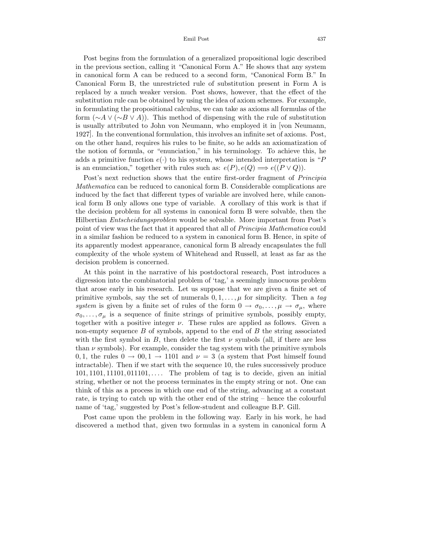Post begins from the formulation of a generalized propositional logic described in the previous section, calling it "Canonical Form A." He shows that any system in canonical form A can be reduced to a second form, "Canonical Form B." In Canonical Form B, the unrestricted rule of substitution present in Form A is replaced by a much weaker version. Post shows, however, that the effect of the substitution rule can be obtained by using the idea of axiom schemes. For example, in formulating the propositional calculus, we can take as axioms all formulas of the form  $({\sim}A \vee ({\sim}B \vee A))$ . This method of dispensing with the rule of substitution is usually attributed to John von Neumann, who employed it in [von Neumann, 1927]. In the conventional formulation, this involves an infinite set of axioms. Post, on the other hand, requires his rules to be finite, so he adds an axiomatization of the notion of formula, or "enunciation," in his terminology. To achieve this, he adds a primitive function  $e(\cdot)$  to his system, whose intended interpretation is "P is an enunciation," together with rules such as:  $e(P), e(Q) \Longrightarrow e((P \lor Q)).$ 

Post's next reduction shows that the entire first-order fragment of *Principia Mathematica* can be reduced to canonical form B. Considerable complications are induced by the fact that different types of variable are involved here, while canonical form B only allows one type of variable. A corollary of this work is that if the decision problem for all systems in canonical form B were solvable, then the Hilbertian *Entscheidungsproblem* would be solvable. More important from Post's point of view was the fact that it appeared that all of *Principia Mathematica* could in a similar fashion be reduced to a system in canonical form B. Hence, in spite of its apparently modest appearance, canonical form B already encapsulates the full complexity of the whole system of Whitehead and Russell, at least as far as the decision problem is concerned.

At this point in the narrative of his postdoctoral research, Post introduces a digression into the combinatorial problem of 'tag,' a seemingly innocuous problem that arose early in his research. Let us suppose that we are given a finite set of primitive symbols, say the set of numerals  $0, 1, \ldots, \mu$  for simplicity. Then a *tag system* is given by a finite set of rules of the form  $0 \to \sigma_0, \ldots, \mu \to \sigma_\mu$ , where  $\sigma_0, \ldots, \sigma_\mu$  is a sequence of finite strings of primitive symbols, possibly empty, together with a positive integer  $\nu$ . These rules are applied as follows. Given a non-empty sequence  $B$  of symbols, append to the end of  $B$  the string associated with the first symbol in B, then delete the first  $\nu$  symbols (all, if there are less than  $\nu$  symbols). For example, consider the tag system with the primitive symbols 0, 1, the rules  $0 \rightarrow 0.01 \rightarrow 1101$  and  $\nu = 3$  (a system that Post himself found intractable). Then if we start with the sequence 10, the rules successively produce  $101, 1101, 11101, 011101, \ldots$  The problem of tag is to decide, given an initial string, whether or not the process terminates in the empty string or not. One can think of this as a process in which one end of the string, advancing at a constant rate, is trying to catch up with the other end of the string – hence the colourful name of 'tag,' suggested by Post's fellow-student and colleague B.P. Gill.

Post came upon the problem in the following way. Early in his work, he had discovered a method that, given two formulas in a system in canonical form A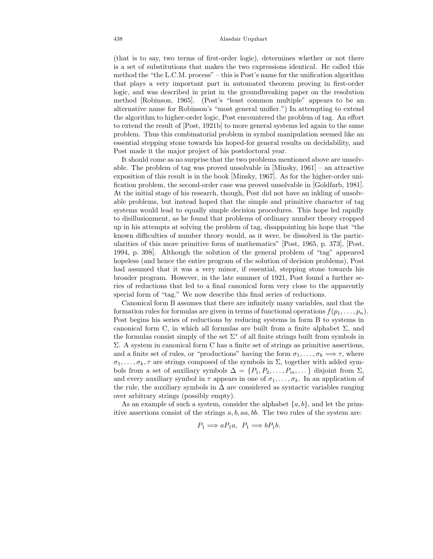(that is to say, two terms of first-order logic), determines whether or not there is a set of substitutions that makes the two expressions identical. He called this method the "the L.C.M. process" – this is Post's name for the unification algorithm that plays a very important part in automated theorem proving in first-order logic, and was described in print in the groundbreaking paper on the resolution method [Robinson, 1965]. (Post's "least common multiple" appears to be an alternative name for Robinson's "most general unifier.") In attempting to extend the algorithm to higher-order logic, Post encountered the problem of tag. An effort to extend the result of [Post, 1921b] to more general systems led again to the same problem. Thus this combinatorial problem in symbol manipulation seemed like an essential stepping stone towards his hoped-for general results on decidability, and Post made it the major project of his postdoctoral year.

It should come as no surprise that the two problems mentioned above are unsolvable. The problem of tag was proved unsolvable in  $|\text{Minsky}, 1961| -$  an attractive exposition of this result is in the book [Minsky, 1967]. As for the higher-order unification problem, the second-order case was proved unsolvable in [Goldfarb, 1981]. At the initial stage of his research, though, Post did not have an inkling of unsolvable problems, but instead hoped that the simple and primitive character of tag systems would lead to equally simple decision procedures. This hope led rapidly to disillusionment, as he found that problems of ordinary number theory cropped up in his attempts at solving the problem of tag, disappointing his hope that "the known difficulties of number theory would, as it were, be dissolved in the particularities of this more primitive form of mathematics" [Post, 1965, p. 373], [Post, 1994, p. 398]. Although the solution of the general problem of "tag" appeared hopeless (and hence the entire program of the solution of decision problems), Post had assumed that it was a very minor, if essential, stepping stone towards his broader program. However, in the late summer of 1921, Post found a further series of reductions that led to a final canonical form very close to the apparently special form of "tag." We now describe this final series of reductions.

Canonical form B assumes that there are infinitely many variables, and that the formation rules for formulas are given in terms of functional operations  $f(p_1,\ldots,p_n)$ . Post begins his series of reductions by reducing systems in form B to systems in canonical form C, in which all formulas are built from a finite alphabet  $\Sigma$ , and the formulas consist simply of the set  $\Sigma^*$  of all finite strings built from symbols in Σ. A system in canonical form C has a finite set of strings as primitive assertions, and a finite set of rules, or "productions" having the form  $\sigma_1, \ldots, \sigma_k \implies \tau$ , where  $\sigma_1,\ldots,\sigma_k,\tau$  are strings composed of the symbols in  $\Sigma$ , together with added symbols from a set of auxiliary symbols  $\Delta = \{P_1, P_2, \ldots, P_m, \ldots\}$  disjoint from  $\Sigma$ , and every auxiliary symbol in  $\tau$  appears in one of  $\sigma_1, \ldots, \sigma_k$ . In an application of the rule, the auxiliary symbols in  $\Delta$  are considered as syntactic variables ranging over arbitrary strings (possibly empty).

As an example of such a system, consider the alphabet  $\{a, b\}$ , and let the primitive assertions consist of the strings  $a, b, aa, bb$ . The two rules of the system are:

$$
P_1 \Longrightarrow aP_1a, P_1 \Longrightarrow bP_1b.
$$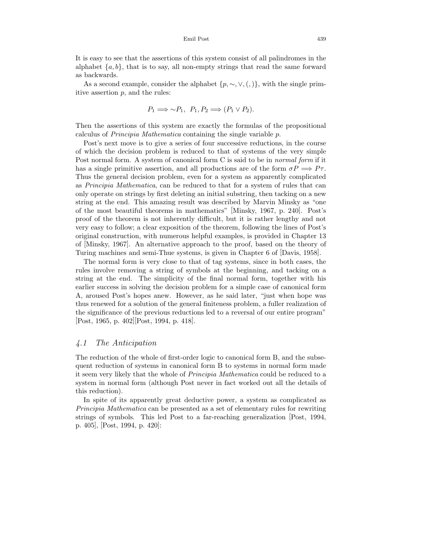It is easy to see that the assertions of this system consist of all palindromes in the alphabet  ${a, b}$ , that is to say, all non-empty strings that read the same forward as backwards.

As a second example, consider the alphabet  $\{p, \sim, \vee, (,) \}$ , with the single primitive assertion  $p$ , and the rules:

$$
P_1 \Longrightarrow \sim P_1, \ P_1, P_2 \Longrightarrow (P_1 \lor P_2).
$$

Then the assertions of this system are exactly the formulas of the propositional calculus of *Principia Mathematica* containing the single variable p.

Post's next move is to give a series of four successive reductions, in the course of which the decision problem is reduced to that of systems of the very simple Post normal form. A system of canonical form C is said to be in *normal form* if it has a single primitive assertion, and all productions are of the form  $\sigma P \Longrightarrow P \tau$ . Thus the general decision problem, even for a system as apparently complicated as *Principia Mathematica*, can be reduced to that for a system of rules that can only operate on strings by first deleting an initial substring, then tacking on a new string at the end. This amazing result was described by Marvin Minsky as "one of the most beautiful theorems in mathematics" [Minsky, 1967, p. 240]. Post's proof of the theorem is not inherently difficult, but it is rather lengthy and not very easy to follow; a clear exposition of the theorem, following the lines of Post's original construction, with numerous helpful examples, is provided in Chapter 13 of [Minsky, 1967]. An alternative approach to the proof, based on the theory of Turing machines and semi-Thue systems, is given in Chapter 6 of [Davis, 1958].

The normal form is very close to that of tag systems, since in both cases, the rules involve removing a string of symbols at the beginning, and tacking on a string at the end. The simplicity of the final normal form, together with his earlier success in solving the decision problem for a simple case of canonical form A, aroused Post's hopes anew. However, as he said later, "just when hope was thus renewed for a solution of the general finiteness problem, a fuller realization of the significance of the previous reductions led to a reversal of our entire program" [Post, 1965, p. 402][Post, 1994, p. 418].

## *4.1 The Anticipation*

The reduction of the whole of first-order logic to canonical form B, and the subsequent reduction of systems in canonical form B to systems in normal form made it seem very likely that the whole of *Principia Mathematica* could be reduced to a system in normal form (although Post never in fact worked out all the details of this reduction).

In spite of its apparently great deductive power, a system as complicated as *Principia Mathematica* can be presented as a set of elementary rules for rewriting strings of symbols. This led Post to a far-reaching generalization [Post, 1994, p. 405], [Post, 1994, p. 420]: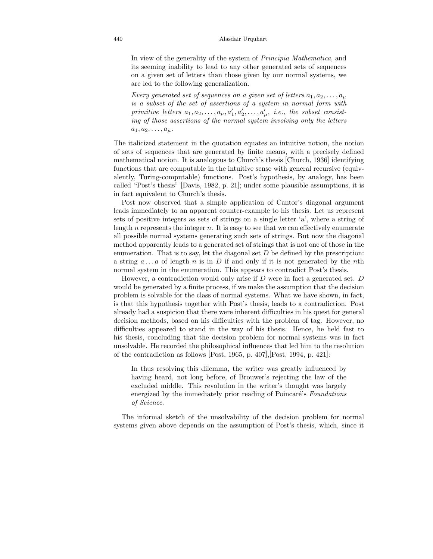In view of the generality of the system of *Principia Mathematica*, and its seeming inability to lead to any other generated sets of sequences on a given set of letters than those given by our normal systems, we are led to the following generalization.

*Every generated set of sequences on a given set of letters*  $a_1, a_2, \ldots, a_\mu$ *is a subset of the set of assertions of a system in normal form with primitive letters*  $a_1, a_2, \ldots, a_\mu, a'_1, a'_2, \ldots, a'_\mu$ , *i.e.*, the subset consist*ing of those assertions of the normal system involving only the letters*  $a_1, a_2, \ldots, a_\mu$ 

The italicized statement in the quotation equates an intuitive notion, the notion of sets of sequences that are generated by finite means, with a precisely defined mathematical notion. It is analogous to Church's thesis [Church, 1936] identifying functions that are computable in the intuitive sense with general recursive (equivalently, Turing-computable) functions. Post's hypothesis, by analogy, has been called "Post's thesis" [Davis, 1982, p. 21]; under some plausible assumptions, it is in fact equivalent to Church's thesis.

Post now observed that a simple application of Cantor's diagonal argument leads immediately to an apparent counter-example to his thesis. Let us represent sets of positive integers as sets of strings on a single letter 'a', where a string of length  $n$  represents the integer  $n$ . It is easy to see that we can effectively enumerate all possible normal systems generating such sets of strings. But now the diagonal method apparently leads to a generated set of strings that is not one of those in the enumeration. That is to say, let the diagonal set  $D$  be defined by the prescription: a string  $a \dots a$  of length n is in D if and only if it is not generated by the nth normal system in the enumeration. This appears to contradict Post's thesis.

However, a contradiction would only arise if  $D$  were in fact a generated set.  $D$ would be generated by a finite process, if we make the assumption that the decision problem is solvable for the class of normal systems. What we have shown, in fact, is that this hypothesis together with Post's thesis, leads to a contradiction. Post already had a suspicion that there were inherent difficulties in his quest for general decision methods, based on his difficulties with the problem of tag. However, no difficulties appeared to stand in the way of his thesis. Hence, he held fast to his thesis, concluding that the decision problem for normal systems was in fact unsolvable. He recorded the philosophical influences that led him to the resolution of the contradiction as follows [Post, 1965, p. 407],[Post, 1994, p. 421]:

In thus resolving this dilemma, the writer was greatly influenced by having heard, not long before, of Brouwer's rejecting the law of the excluded middle. This revolution in the writer's thought was largely energized by the immediately prior reading of Poincaré's *Foundations of Science*.

The informal sketch of the unsolvability of the decision problem for normal systems given above depends on the assumption of Post's thesis, which, since it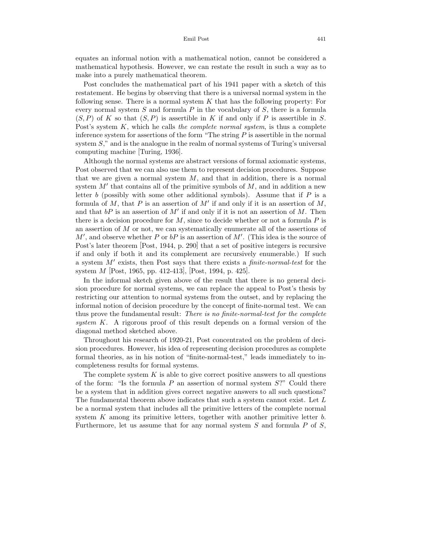equates an informal notion with a mathematical notion, cannot be considered a mathematical hypothesis. However, we can restate the result in such a way as to make into a purely mathematical theorem.

Post concludes the mathematical part of his 1941 paper with a sketch of this restatement. He begins by observing that there is a universal normal system in the following sense. There is a normal system  $K$  that has the following property: For every normal system  $S$  and formula  $P$  in the vocabulary of  $S$ , there is a formula  $(S, P)$  of K so that  $(S, P)$  is assertible in K if and only if P is assertible in S. Post's system K, which he calls *the complete normal system*, is thus a complete inference system for assertions of the form "The string  $P$  is assertible in the normal system  $S$ ," and is the analogue in the realm of normal systems of Turing's universal computing machine [Turing, 1936].

Although the normal systems are abstract versions of formal axiomatic systems, Post observed that we can also use them to represent decision procedures. Suppose that we are given a normal system  $M$ , and that in addition, there is a normal system  $M'$  that contains all of the primitive symbols of  $M$ , and in addition a new letter b (possibly with some other additional symbols). Assume that if  $P$  is a formula of M, that P is an assertion of M' if and only if it is an assertion of M, and that  $bP$  is an assertion of M' if and only if it is not an assertion of M. Then there is a decision procedure for  $M$ , since to decide whether or not a formula  $P$  is an assertion of M or not, we can systematically enumerate all of the assertions of  $M'$ , and observe whether P or  $bP$  is an assertion of  $M'$ . (This idea is the source of Post's later theorem [Post, 1944, p. 290] that a set of positive integers is recursive if and only if both it and its complement are recursively enumerable.) If such a system M exists, then Post says that there exists a *finite-normal-test* for the system M [Post, 1965, pp. 412-413], [Post, 1994, p. 425].

In the informal sketch given above of the result that there is no general decision procedure for normal systems, we can replace the appeal to Post's thesis by restricting our attention to normal systems from the outset, and by replacing the informal notion of decision procedure by the concept of finite-normal test. We can thus prove the fundamental result: *There is no finite-normal-test for the complete system* K. A rigorous proof of this result depends on a formal version of the diagonal method sketched above.

Throughout his research of 1920-21, Post concentrated on the problem of decision procedures. However, his idea of representing decision procedures as complete formal theories, as in his notion of "finite-normal-test," leads immediately to incompleteness results for formal systems.

The complete system  $K$  is able to give correct positive answers to all questions of the form: "Is the formula  $P$  an assertion of normal system  $S$ ?" Could there be a system that in addition gives correct negative answers to all such questions? The fundamental theorem above indicates that such a system cannot exist. Let L be a normal system that includes all the primitive letters of the complete normal system  $K$  among its primitive letters, together with another primitive letter  $b$ . Furthermore, let us assume that for any normal system  $S$  and formula  $P$  of  $S$ ,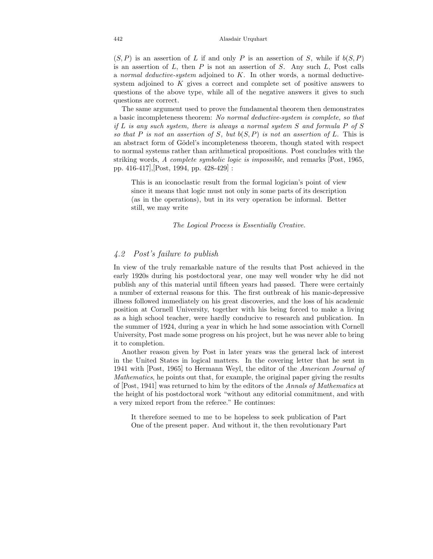$(S, P)$  is an assertion of L if and only P is an assertion of S, while if  $b(S, P)$ is an assertion of  $L$ , then  $P$  is not an assertion of  $S$ . Any such  $L$ , Post calls a *normal deductive-system* adjoined to K. In other words, a normal deductivesystem adjoined to K gives a correct and complete set of positive answers to questions of the above type, while all of the negative answers it gives to such questions are correct.

The same argument used to prove the fundamental theorem then demonstrates a basic incompleteness theorem: *No normal deductive-system is complete, so that if* L *is any such system, there is always a normal system* S *and formula* P *of* S *so that* P *is not an assertion of* S*, but* b(S, P) *is not an assertion of* L. This is an abstract form of Gödel's incompleteness theorem, though stated with respect to normal systems rather than arithmetical propositions. Post concludes with the striking words, *A complete symbolic logic is impossible*, and remarks [Post, 1965, pp. 416-417],[Post, 1994, pp. 428-429] :

This is an iconoclastic result from the formal logician's point of view since it means that logic must not only in some parts of its description (as in the operations), but in its very operation be informal. Better still, we may write

*The Logical Process is Essentially Creative.*

# *4.2 Post's failure to publish*

In view of the truly remarkable nature of the results that Post achieved in the early 1920s during his postdoctoral year, one may well wonder why he did not publish any of this material until fifteen years had passed. There were certainly a number of external reasons for this. The first outbreak of his manic-depressive illness followed immediately on his great discoveries, and the loss of his academic position at Cornell University, together with his being forced to make a living as a high school teacher, were hardly conducive to research and publication. In the summer of 1924, during a year in which he had some association with Cornell University, Post made some progress on his project, but he was never able to bring it to completion.

Another reason given by Post in later years was the general lack of interest in the United States in logical matters. In the covering letter that he sent in 1941 with [Post, 1965] to Hermann Weyl, the editor of the *American Journal of Mathematics*, he points out that, for example, the original paper giving the results of [Post, 1941] was returned to him by the editors of the *Annals of Mathematics* at the height of his postdoctoral work "without any editorial commitment, and with a very mixed report from the referee." He continues:

It therefore seemed to me to be hopeless to seek publication of Part One of the present paper. And without it, the then revolutionary Part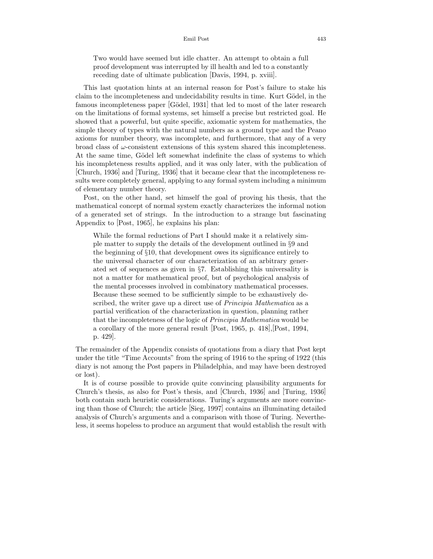Two would have seemed but idle chatter. An attempt to obtain a full proof development was interrupted by ill health and led to a constantly receding date of ultimate publication [Davis, 1994, p. xviii].

This last quotation hints at an internal reason for Post's failure to stake his claim to the incompleteness and undecidability results in time. Kurt Gödel, in the famous incompleteness paper [Gödel, 1931] that led to most of the later research on the limitations of formal systems, set himself a precise but restricted goal. He showed that a powerful, but quite specific, axiomatic system for mathematics, the simple theory of types with the natural numbers as a ground type and the Peano axioms for number theory, was incomplete, and furthermore, that any of a very broad class of  $\omega$ -consistent extensions of this system shared this incompleteness. At the same time, Gödel left somewhat indefinite the class of systems to which his incompleteness results applied, and it was only later, with the publication of [Church, 1936] and [Turing, 1936] that it became clear that the incompleteness results were completely general, applying to any formal system including a minimum of elementary number theory.

Post, on the other hand, set himself the goal of proving his thesis, that the mathematical concept of normal system exactly characterizes the informal notion of a generated set of strings. In the introduction to a strange but fascinating Appendix to [Post, 1965], he explains his plan:

While the formal reductions of Part I should make it a relatively simple matter to supply the details of the development outlined in §9 and the beginning of §10, that development owes its significance entirely to the universal character of our characterization of an arbitrary generated set of sequences as given in §7. Establishing this universality is not a matter for mathematical proof, but of psychological analysis of the mental processes involved in combinatory mathematical processes. Because these seemed to be sufficiently simple to be exhaustively described, the writer gave up a direct use of *Principia Mathematica* as a partial verification of the characterization in question, planning rather that the incompleteness of the logic of *Principia Mathematica* would be a corollary of the more general result [Post, 1965, p. 418],[Post, 1994, p. 429].

The remainder of the Appendix consists of quotations from a diary that Post kept under the title "Time Accounts" from the spring of 1916 to the spring of 1922 (this diary is not among the Post papers in Philadelphia, and may have been destroyed or lost).

It is of course possible to provide quite convincing plausibility arguments for Church's thesis, as also for Post's thesis, and [Church, 1936] and [Turing, 1936] both contain such heuristic considerations. Turing's arguments are more convincing than those of Church; the article [Sieg, 1997] contains an illuminating detailed analysis of Church's arguments and a comparison with those of Turing. Nevertheless, it seems hopeless to produce an argument that would establish the result with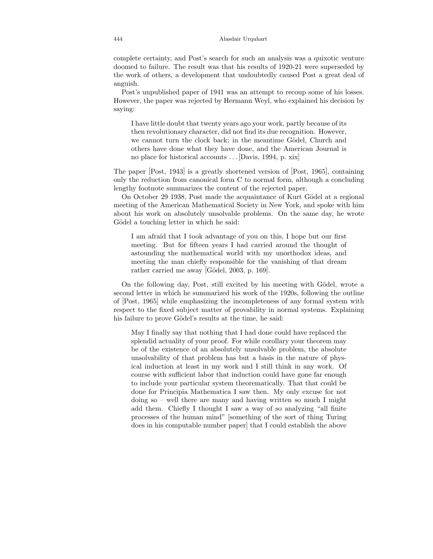#### 444 Alasdair Urquhart

complete certainty, and Post's search for such an analysis was a quixotic venture doomed to failure. The result was that his results of 1920-21 were superseded by the work of others, a development that undoubtedly caused Post a great deal of anguish.

Post's unpublished paper of 1941 was an attempt to recoup some of his losses. However, the paper was rejected by Hermann Weyl, who explained his decision by saying:

I have little doubt that twenty years ago your work, partly because of its then revolutionary character, did not find its due recognition. However, we cannot turn the clock back; in the meantime Gödel, Church and others have done what they have done, and the American Journal is no place for historical accounts ... [Davis, 1994, p. xix]

The paper [Post, 1943] is a greatly shortened version of [Post, 1965], containing only the reduction from canonical form C to normal form, although a concluding lengthy footnote summarizes the content of the rejected paper.

On October 29 1938, Post made the acquaintance of Kurt Gödel at a regional meeting of the American Mathematical Society in New York, and spoke with him about his work on absolutely unsolvable problems. On the same day, he wrote Gödel a touching letter in which he said:

I am afraid that I took advantage of you on this, I hope but our first meeting. But for fifteen years I had carried around the thought of astounding the mathematical world with my unorthodox ideas, and meeting the man chiefly responsible for the vanishing of that dream rather carried me away [Gödel, 2003, p. 169].

On the following day, Post, still excited by his meeting with Gödel, wrote a second letter in which he summarized his work of the 1920s, following the outline of [Post, 1965] while emphasizing the incompleteness of any formal system with respect to the fixed subject matter of provability in normal systems. Explaining his failure to prove Gödel's results at the time, he said:

May I finally say that nothing that I had done could have replaced the splendid actuality of your proof. For while corollary your theorem may be of the existence of an absolutely unsolvable problem, the absolute unsolvability of that problem has but a basis in the nature of physical induction at least in my work and I still think in any work. Of course with sufficient labor that induction could have gone far enough to include your particular system theorematically. That that could be done for Principia Mathematica I saw then. My only excuse for not doing so – well there are many and having written so much I might add them. Chiefly I thought I saw a way of so analyzing "all finite processes of the human mind" [something of the sort of thing Turing does in his computable number paper] that I could establish the above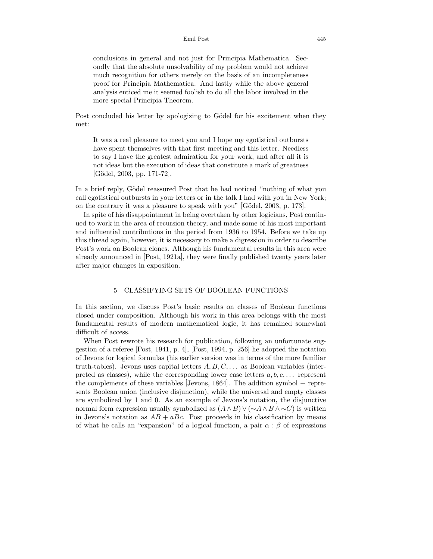conclusions in general and not just for Principia Mathematica. Secondly that the absolute unsolvability of my problem would not achieve much recognition for others merely on the basis of an incompleteness proof for Principia Mathematica. And lastly while the above general analysis enticed me it seemed foolish to do all the labor involved in the more special Principia Theorem.

Post concluded his letter by apologizing to Gödel for his excitement when they met:

It was a real pleasure to meet you and I hope my egotistical outbursts have spent themselves with that first meeting and this letter. Needless to say I have the greatest admiration for your work, and after all it is not ideas but the execution of ideas that constitute a mark of greatness  $[Gödel, 2003, pp. 171-72].$ 

In a brief reply, Gödel reassured Post that he had noticed "nothing of what you call egotistical outbursts in your letters or in the talk I had with you in New York; on the contrary it was a pleasure to speak with you" [Gödel, 2003, p. 173].

In spite of his disappointment in being overtaken by other logicians, Post continued to work in the area of recursion theory, and made some of his most important and influential contributions in the period from 1936 to 1954. Before we take up this thread again, however, it is necessary to make a digression in order to describe Post's work on Boolean clones. Although his fundamental results in this area were already announced in [Post, 1921a], they were finally published twenty years later after major changes in exposition.

### 5 CLASSIFYING SETS OF BOOLEAN FUNCTIONS

In this section, we discuss Post's basic results on classes of Boolean functions closed under composition. Although his work in this area belongs with the most fundamental results of modern mathematical logic, it has remained somewhat difficult of access.

When Post rewrote his research for publication, following an unfortunate suggestion of a referee [Post, 1941, p. 4], [Post, 1994, p. 256] he adopted the notation of Jevons for logical formulas (his earlier version was in terms of the more familiar truth-tables). Jevons uses capital letters  $A, B, C, \ldots$  as Boolean variables (interpreted as classes), while the corresponding lower case letters  $a, b, c, \ldots$  represent the complements of these variables  $Jevons$ , 1864. The addition symbol  $+$  represents Boolean union (inclusive disjunction), while the universal and empty classes are symbolized by 1 and 0. As an example of Jevons's notation, the disjunctive normal form expression usually symbolized as  $(A \wedge B) \vee (\sim A \wedge B \wedge \sim C)$  is written in Jevons's notation as  $AB + aBc$ . Post proceeds in his classification by means of what he calls an "expansion" of a logical function, a pair  $\alpha : \beta$  of expressions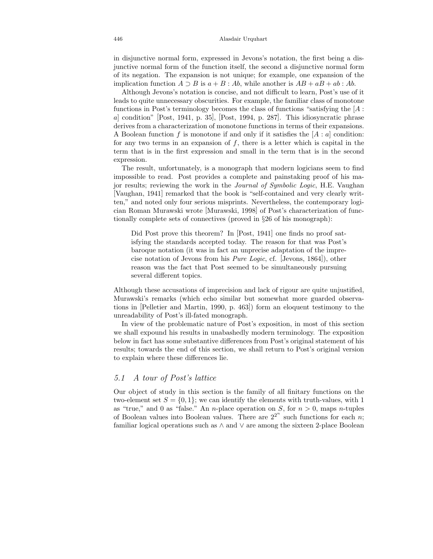in disjunctive normal form, expressed in Jevons's notation, the first being a disjunctive normal form of the function itself, the second a disjunctive normal form of its negation. The expansion is not unique; for example, one expansion of the implication function  $A \supset B$  is  $a + B : Ab$ , while another is  $AB + aB + ab : Ab$ .

Although Jevons's notation is concise, and not difficult to learn, Post's use of it leads to quite unnecessary obscurities. For example, the familiar class of monotone functions in Post's terminology becomes the class of functions "satisfying the  $[A]$ : a] condition"  $[Post, 1941, p. 35]$ ,  $[Post, 1994, p. 287]$ . This idiosyncratic phrase derives from a characterization of monotone functions in terms of their expansions. A Boolean function  $f$  is monotone if and only if it satisfies the  $[A : a]$  condition: for any two terms in an expansion of  $f$ , there is a letter which is capital in the term that is in the first expression and small in the term that is in the second expression.

The result, unfortunately, is a monograph that modern logicians seem to find impossible to read. Post provides a complete and painstaking proof of his major results; reviewing the work in the *Journal of Symbolic Logic*, H.E. Vaughan [Vaughan, 1941] remarked that the book is "self-contained and very clearly written," and noted only four serious misprints. Nevertheless, the contemporary logician Roman Murawski wrote [Murawski, 1998] of Post's characterization of functionally complete sets of connectives (proved in §26 of his monograph):

Did Post prove this theorem? In [Post, 1941] one finds no proof satisfying the standards accepted today. The reason for that was Post's baroque notation (it was in fact an unprecise adaptation of the imprecise notation of Jevons from his *Pure Logic*, cf. [Jevons, 1864]), other reason was the fact that Post seemed to be simultaneously pursuing several different topics.

Although these accusations of imprecision and lack of rigour are quite unjustified, Murawski's remarks (which echo similar but somewhat more guarded observations in [Pelletier and Martin, 1990, p. 463]) form an eloquent testimony to the unreadability of Post's ill-fated monograph.

In view of the problematic nature of Post's exposition, in most of this section we shall expound his results in unabashedly modern terminology. The exposition below in fact has some substantive differences from Post's original statement of his results; towards the end of this section, we shall return to Post's original version to explain where these differences lie.

# *5.1 A tour of Post's lattice*

Our object of study in this section is the family of all finitary functions on the two-element set  $S = \{0, 1\}$ ; we can identify the elements with truth-values, with 1 as "true," and 0 as "false." An *n*-place operation on S, for  $n > 0$ , maps *n*-tuples of Boolean values into Boolean values. There are  $2^{2^n}$  such functions for each n; familiar logical operations such as  $\land$  and  $\lor$  are among the sixteen 2-place Boolean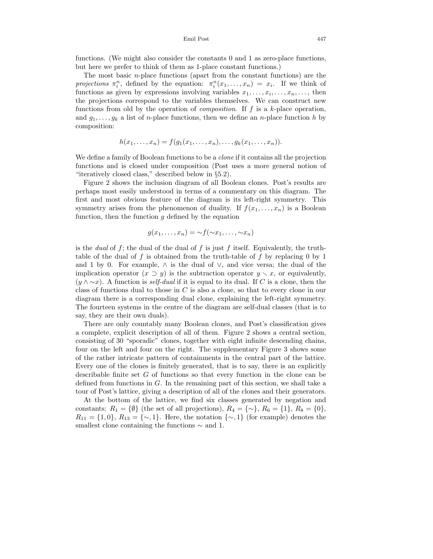functions. (We might also consider the constants 0 and 1 as zero-place functions, but here we prefer to think of them as 1-place constant functions.)

The most basic  $n$ -place functions (apart from the constant functions) are the *projections*  $\pi_i^n$ , defined by the equation:  $\pi_i^n(x_1,\ldots,x_n) = x_i$ . If we think of functions as given by expressions involving variables  $x_1, \ldots, x_i, \ldots, x_n, \ldots$ , then the projections correspond to the variables themselves. We can construct new functions from old by the operation of *composition*. If f is a k-place operation, and  $g_1, \ldots, g_k$  a list of *n*-place functions, then we define an *n*-place function h by composition:

$$
h(x_1,\ldots,x_n)=f(g_1(x_1,\ldots,x_n),\ldots,g_k(x_1,\ldots,x_n)).
$$

We define a family of Boolean functions to be a *clone* if it contains all the projection functions and is closed under composition (Post uses a more general notion of "iteratively closed class," described below in §5.2).

Figure 2 shows the inclusion diagram of all Boolean clones. Post's results are perhaps most easily understood in terms of a commentary on this diagram. The first and most obvious feature of the diagram is its left-right symmetry. This symmetry arises from the phenomenon of duality. If  $f(x_1,...,x_n)$  is a Boolean function, then the function  $g$  defined by the equation

$$
g(x_1,\ldots,x_n)=\sim f(\sim x_1,\ldots,\sim x_n)
$$

is the *dual* of f; the dual of the dual of f is just f itself. Equivalently, the truthtable of the dual of f is obtained from the truth-table of f by replacing 0 by 1 and 1 by 0. For example,  $\land$  is the dual of  $\lor$ , and vice versa; the dual of the implication operator  $(x \supset y)$  is the subtraction operator  $y \setminus x$ , or equivalently, (y ∧ ∼x). A function is *self-dual* if it is equal to its dual. If C is a clone, then the class of functions dual to those in C is also a clone, so that to every clone in our diagram there is a corresponding dual clone, explaining the left-right symmetry. The fourteen systems in the centre of the diagram are self-dual classes (that is to say, they are their own duals).

There are only countably many Boolean clones, and Post's classification gives a complete, explicit description of all of them. Figure 2 shows a central section, consisting of 30 "sporadic" clones, together with eight infinite descending chains, four on the left and four on the right. The supplementary Figure 3 shows some of the rather intricate pattern of containments in the central part of the lattice. Every one of the clones is finitely generated, that is to say, there is an explicitly describable finite set G of functions so that every function in the clone can be defined from functions in G. In the remaining part of this section, we shall take a tour of Post's lattice, giving a description of all of the clones and their generators.

At the bottom of the lattice, we find six classes generated by negation and constants:  $R_1 = \{\emptyset\}$  (the set of all projections),  $R_4 = \{\sim\}$ ,  $R_6 = \{1\}$ ,  $R_8 = \{0\}$ ,  $R_{11} = \{1, 0\}, R_{13} = \{\sim, 1\}.$  Here, the notation  $\{\sim, 1\}$  (for example) denotes the smallest clone containing the functions  $\sim$  and 1.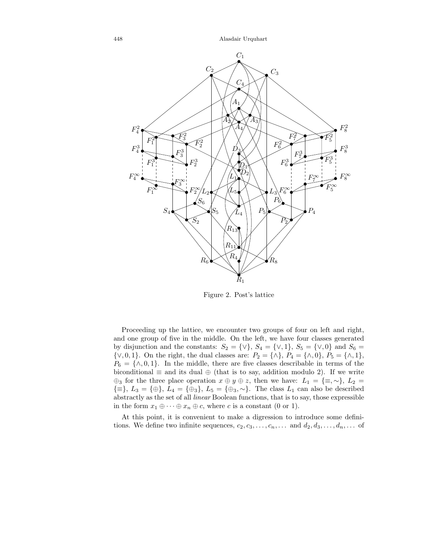448 Alasdair Urquhart



Figure 2. Post's lattice

Proceeding up the lattice, we encounter two groups of four on left and right, and one group of five in the middle. On the left, we have four classes generated by disjunction and the constants:  $S_2 = \{\vee\}$ ,  $S_4 = \{\vee, 1\}$ ,  $S_5 = \{\vee, 0\}$  and  $S_6 =$  $\{\vee, 0, 1\}.$  On the right, the dual classes are:  $P_2 = \{\wedge\}, P_4 = \{\wedge, 0\}, P_5 = \{\wedge, 1\},$  $P_6 = \{\wedge, 0, 1\}$ . In the middle, there are five classes describable in terms of the biconditional  $\equiv$  and its dual  $\oplus$  (that is to say, addition modulo 2). If we write  $\oplus_3$  for the three place operation  $x \oplus y \oplus z$ , then we have:  $L_1 = \{\equiv, \sim\}, L_2 =$  $\{\equiv\}, L_3 = \{\oplus\}, L_4 = \{\oplus_3\}, L_5 = \{\oplus_3, \sim\}.$  The class  $L_1$  can also be described abstractly as the set of all *linear* Boolean functions, that is to say, those expressible in the form  $x_1 \oplus \cdots \oplus x_n \oplus c$ , where c is a constant (0 or 1).

At this point, it is convenient to make a digression to introduce some definitions. We define two infinite sequences,  $c_2, c_3, \ldots, c_n, \ldots$  and  $d_2, d_3, \ldots, d_n, \ldots$  of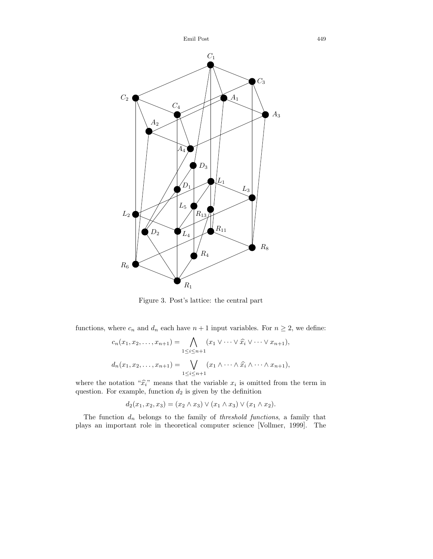

Figure 3. Post's lattice: the central part

functions, where  $c_n$  and  $d_n$  each have  $n + 1$  input variables. For  $n \geq 2$ , we define:

$$
c_n(x_1, x_2, \dots, x_{n+1}) = \bigwedge_{1 \leq i \leq n+1} (x_1 \vee \dots \vee \widehat{x_i} \vee \dots \vee x_{n+1}),
$$
  

$$
d_n(x_1, x_2, \dots, x_{n+1}) = \bigvee_{1 \leq i \leq n+1} (x_1 \wedge \dots \wedge \widehat{x_i} \wedge \dots \wedge x_{n+1}),
$$

where the notation " $\hat{x_i}$ " means that the variable  $x_i$  is omitted from the term in question. For example, function  $d_2$  is given by the definition

$$
d_2(x_1, x_2, x_3) = (x_2 \wedge x_3) \vee (x_1 \wedge x_3) \vee (x_1 \wedge x_2).
$$

The function  $d_n$  belongs to the family of *threshold functions*, a family that plays an important role in theoretical computer science [Vollmer, 1999]. The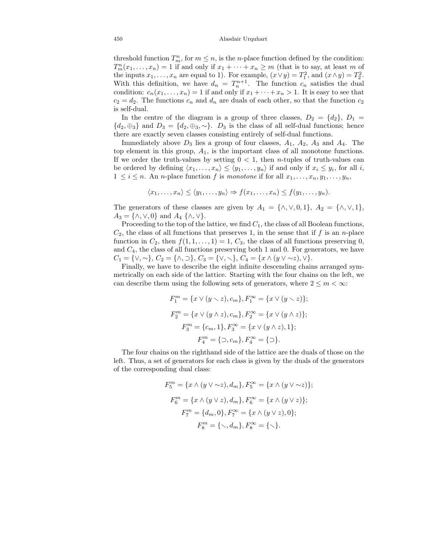#### 450 Alasdair Urquhart

threshold function  $T_m^n$ , for  $m \leq n$ , is the *n*-place function defined by the condition:  $T_m^n(x_1,\ldots,x_n) = 1$  if and only if  $x_1 + \cdots + x_n \ge m$  (that is to say, at least m of the inputs  $x_1, \ldots, x_n$  are equal to 1). For example,  $(x \vee y) = T_1^2$ , and  $(x \wedge y) = T_2^2$ . With this definition, we have  $d_n = T_n^{n+1}$ . The function  $c_n$  satisfies the dual condition:  $c_n(x_1,...,x_n) = 1$  if and only if  $x_1 + \cdots + x_n > 1$ . It is easy to see that  $c_2 = d_2$ . The functions  $c_n$  and  $d_n$  are duals of each other, so that the function  $c_2$ is self-dual.

In the centre of the diagram is a group of three classes,  $D_2 = \{d_2\}$ ,  $D_1 =$  ${d_2, \oplus_3}$  and  $D_3 = {d_2, \oplus_3, \sim}$ .  $D_3$  is the class of all self-dual functions; hence there are exactly seven classes consisting entirely of self-dual functions.

Immediately above  $D_3$  lies a group of four classes,  $A_1$ ,  $A_2$ ,  $A_3$  and  $A_4$ . The top element in this group,  $A_1$ , is the important class of all monotone functions. If we order the truth-values by setting  $0 < 1$ , then *n*-tuples of truth-values can be ordered by defining  $\langle x_1,\ldots,x_n\rangle \leq \langle y_1,\ldots,y_n\rangle$  if and only if  $x_i \leq y_i$ , for all i,  $1 \leq i \leq n$ . An *n*-place function f is *monotone* if for all  $x_1, \ldots, x_n, y_1, \ldots, y_n$ ,

$$
\langle x_1, \ldots, x_n \rangle \leq \langle y_1, \ldots, y_n \rangle \Rightarrow f(x_1, \ldots, x_n) \leq f(y_1, \ldots, y_n).
$$

The generators of these classes are given by  $A_1 = \{\wedge, \vee, 0, 1\}, A_2 = \{\wedge, \vee, 1\},$  $A_3 = \{\wedge, \vee, 0\}$  and  $A_4 \{\wedge, \vee\}.$ 

Proceeding to the top of the lattice, we find  $C_1$ , the class of all Boolean functions,  $C_2$ , the class of all functions that preserves 1, in the sense that if f is an n-place function in  $C_2$ , then  $f(1, 1, \ldots, 1) = 1$ ,  $C_3$ , the class of all functions preserving 0, and  $C_4$ , the class of all functions preserving both 1 and 0. For generators, we have  $C_1 = \{\vee, \sim\}, C_2 = \{\wedge, \supset\}, C_3 = \{\vee, \searrow\}, C_4 = \{x \wedge (y \vee \sim z), \vee\}.$ 

Finally, we have to describe the eight infinite descending chains arranged symmetrically on each side of the lattice. Starting with the four chains on the left, we can describe them using the following sets of generators, where  $2 \leq m < \infty$ :

$$
F_1^m = \{x \lor (y \lor z), c_m\}, F_1^{\infty} = \{x \lor (y \lor z)\};
$$
  
\n
$$
F_2^m = \{x \lor (y \land z), c_m\}, F_2^{\infty} = \{x \lor (y \land z)\};
$$
  
\n
$$
F_3^m = \{c_m, 1\}, F_3^{\infty} = \{x \lor (y \land z), 1\};
$$
  
\n
$$
F_4^m = \{\supset, c_m\}, F_4^{\infty} = \{\supset\}.
$$

The four chains on the righthand side of the lattice are the duals of those on the left. Thus, a set of generators for each class is given by the duals of the generators of the corresponding dual class:

$$
F_5^m = \{x \land (y \lor \sim z), d_m\}, F_5^{\infty} = \{x \land (y \lor \sim z)\};
$$
  

$$
F_6^m = \{x \land (y \lor z), d_m\}, F_6^{\infty} = \{x \land (y \lor z)\};
$$
  

$$
F_7^m = \{d_m, 0\}, F_7^{\infty} = \{x \land (y \lor z), 0\};
$$
  

$$
F_8^m = \{\sim, d_m\}, F_8^{\infty} = \{\sim\}.
$$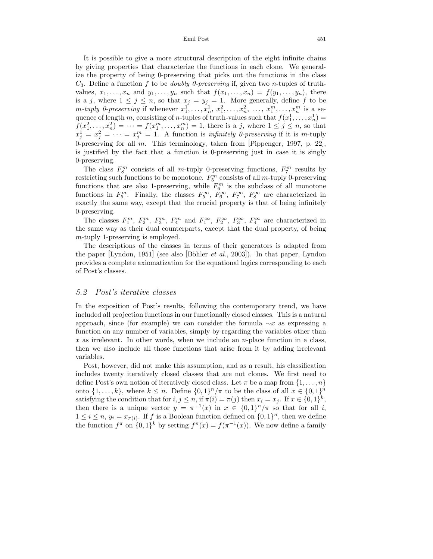It is possible to give a more structural description of the eight infinite chains by giving properties that characterize the functions in each clone. We generalize the property of being 0-preserving that picks out the functions in the class C3. Define a function f to be *doubly 0-preserving* if, given two n-tuples of truthvalues,  $x_1, \ldots, x_n$  and  $y_1, \ldots, y_n$  such that  $f(x_1, \ldots, x_n) = f(y_1, \ldots, y_n)$ , there is a j, where  $1 \leq j \leq n$ , so that  $x_j = y_j = 1$ . More generally, define f to be  $m$ -tuply 0-preserving if whenever  $x_1^1, \ldots, x_n^1, x_1^2, \ldots, x_n^2, \ldots, x_1^m, \ldots, x_n^m$  is a sequence of length m, consisting of n-tuples of truth-values such that  $f(x_1^1, \ldots, x_n^1) =$  $f(x_1^2,...,x_n^2) = \cdots = f(x_1^m,...,x_n^m) = 1$ , there is a j, where  $1 \le j \le n$ , so that  $x_j^1 = x_j^2 = \cdots = x_j^m = 1$ . A function is *infinitely 0-preserving* if it is m-tuply 0-preserving for all  $m$ . This terminology, taken from [Pippenger, 1997, p. 22], is justified by the fact that a function is 0-preserving just in case it is singly 0-preserving.

The class  $F_8^m$  consists of all m-tuply 0-preserving functions,  $F_7^m$  results by restricting such functions to be monotone.  $F_5^m$  consists of all m-tuply 0-preserving functions that are also 1-preserving, while  $F_6^m$  is the subclass of all monotone functions in  $F_5^m$ . Finally, the classes  $F_5^{\infty}$ ,  $F_6^{\infty}$ ,  $F_7^{\infty}$ ,  $F_8^{\infty}$  are characterized in exactly the same way, except that the crucial property is that of being infinitely 0-preserving.

The classes  $F_1^m$ ,  $F_2^m$ ,  $F_3^m$ ,  $F_4^m$  and  $F_1^{\infty}$ ,  $F_2^{\infty}$ ,  $F_3^{\infty}$ ,  $F_4^{\infty}$  are characterized in the same way as their dual counterparts, except that the dual property, of being m-tuply 1-preserving is employed.

The descriptions of the classes in terms of their generators is adapted from the paper  $[Lyndon, 1951]$  (see also  $[Böhler et al., 2003]$ ). In that paper, Lyndon provides a complete axiomatization for the equational logics corresponding to each of Post's classes.

## *5.2 Post's iterative classes*

In the exposition of Post's results, following the contemporary trend, we have included all projection functions in our functionally closed classes. This is a natural approach, since (for example) we can consider the formula  $\sim x$  as expressing a function on any number of variables, simply by regarding the variables other than  $x$  as irrelevant. In other words, when we include an *n*-place function in a class, then we also include all those functions that arise from it by adding irrelevant variables.

Post, however, did not make this assumption, and as a result, his classification includes twenty iteratively closed classes that are not clones. We first need to define Post's own notion of iteratively closed class. Let  $\pi$  be a map from  $\{1,\ldots,n\}$ onto  $\{1,\ldots,k\}$ , where  $k \leq n$ . Define  $\{0,1\}^n/\pi$  to be the class of all  $x \in \{0,1\}^n$ satisfying the condition that for  $i, j \leq n$ , if  $\pi(i) = \pi(j)$  then  $x_i = x_j$ . If  $x \in \{0, 1\}^k$ , then there is a unique vector  $y = \pi^{-1}(x)$  in  $x \in \{0,1\}^n/\pi$  so that for all i,  $1 \leq i \leq n$ ,  $y_i = x_{\pi(i)}$ . If f is a Boolean function defined on  $\{0,1\}^n$ , then we define the function  $f^{\pi}$  on  $\{0,1\}^k$  by setting  $f^{\pi}(x) = f(\pi^{-1}(x))$ . We now define a family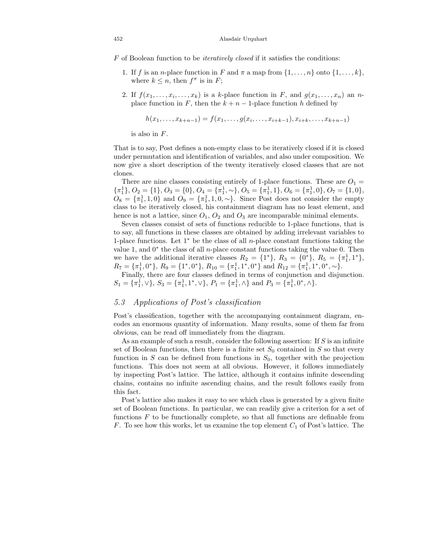F of Boolean function to be *iteratively closed* if it satisfies the conditions:

- 1. If f is an *n*-place function in F and  $\pi$  a map from  $\{1,\ldots,n\}$  onto  $\{1,\ldots,k\}$ , where  $k \leq n$ , then  $f^{\pi}$  is in F;
- 2. If  $f(x_1,\ldots,x_i,\ldots,x_k)$  is a k-place function in F, and  $g(x_1,\ldots,x_n)$  an nplace function in F, then the  $k + n - 1$ -place function h defined by

$$
h(x_1,\ldots,x_{k+n-1})=f(x_1,\ldots,g(x_i,\ldots,x_{i+k-1}),x_{i+k},\ldots,x_{k+n-1})
$$

is also in F.

That is to say, Post defines a non-empty class to be iteratively closed if it is closed under permutation and identification of variables, and also under composition. We now give a short description of the twenty iteratively closed classes that are not clones.

There are nine classes consisting entirely of 1-place functions. These are  $O_1 =$  ${\pi_1^1}$ ,  $O_2 = {1}$ ,  $O_3 = {0}$ ,  $O_4 = {\pi_1^1, \sim}$ ,  $O_5 = {\pi_1^1, 1}$ ,  $O_6 = {\pi_1^1, 0}$ ,  $O_7 = {1, 0}$ ,  $O_8 = {\pi_1^1, 1, 0}$  and  $O_9 = {\pi_1^1, 1, 0, \sim}$ . Since Post does not consider the empty class to be iteratively closed, his containment diagram has no least element, and hence is not a lattice, since  $O_1$ ,  $O_2$  and  $O_3$  are incomparable minimal elements.

Seven classes consist of sets of functions reducible to 1-place functions, that is to say, all functions in these classes are obtained by adding irrelevant variables to 1-place functions. Let  $1^*$  be the class of all *n*-place constant functions taking the value 1, and  $0^*$  the class of all n-place constant functions taking the value 0. Then we have the additional iterative classes  $R_2 = \{1^*\}, R_3 = \{0^*\}, R_5 = \{\pi_1^1, 1^*\},$  $R_7 = {\pi_1^1, 0^*}, R_9 = {1^*, 0^*}, R_{10} = {\pi_1^1, 1^*, 0^*} \text{ and } R_{12} = {\pi_1^1, 1^*, 0^*, \sim}.$ 

Finally, there are four classes defined in terms of conjunction and disjunction.  $S_1 = {\pi_1^1, \vee}, S_3 = {\pi_1^1, 1^*, \vee}, P_1 = {\pi_1^1, \wedge} \text{ and } P_3 = {\pi_1^1, 0^*, \wedge}.$ 

# *5.3 Applications of Post's classification*

Post's classification, together with the accompanying containment diagram, encodes an enormous quantity of information. Many results, some of them far from obvious, can be read off immediately from the diagram.

As an example of such a result, consider the following assertion: If  $S$  is an infinite set of Boolean functions, then there is a finite set  $S_0$  contained in S so that every function in  $S$  can be defined from functions in  $S_0$ , together with the projection functions. This does not seem at all obvious. However, it follows immediately by inspecting Post's lattice. The lattice, although it contains infinite descending chains, contains no infinite ascending chains, and the result follows easily from this fact.

Post's lattice also makes it easy to see which class is generated by a given finite set of Boolean functions. In particular, we can readily give a criterion for a set of functions  $F$  to be functionally complete, so that all functions are definable from F. To see how this works, let us examine the top element  $C_1$  of Post's lattice. The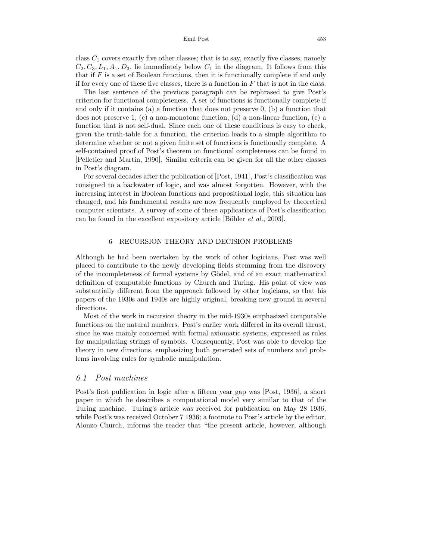class  $C_1$  covers exactly five other classes; that is to say, exactly five classes, namely  $C_2, C_3, L_1, A_1, D_3$ , lie immediately below  $C_1$  in the diagram. It follows from this that if  $F$  is a set of Boolean functions, then it is functionally complete if and only if for every one of these five classes, there is a function in  $F$  that is not in the class.

The last sentence of the previous paragraph can be rephrased to give Post's criterion for functional completeness. A set of functions is functionally complete if and only if it contains (a) a function that does not preserve  $(0, (b)$  a function that does not preserve 1, (c) a non-monotone function, (d) a non-linear function, (e) a function that is not self-dual. Since each one of these conditions is easy to check, given the truth-table for a function, the criterion leads to a simple algorithm to determine whether or not a given finite set of functions is functionally complete. A self-contained proof of Post's theorem on functional completeness can be found in [Pelletier and Martin, 1990]. Similar criteria can be given for all the other classes in Post's diagram.

For several decades after the publication of [Post, 1941], Post's classification was consigned to a backwater of logic, and was almost forgotten. However, with the increasing interest in Boolean functions and propositional logic, this situation has changed, and his fundamental results are now frequently employed by theoretical computer scientists. A survey of some of these applications of Post's classification can be found in the excellent expository article [Böhler *et al.*, 2003].

### 6 RECURSION THEORY AND DECISION PROBLEMS

Although he had been overtaken by the work of other logicians, Post was well placed to contribute to the newly developing fields stemming from the discovery of the incompleteness of formal systems by G¨odel, and of an exact mathematical definition of computable functions by Church and Turing. His point of view was substantially different from the approach followed by other logicians, so that his papers of the 1930s and 1940s are highly original, breaking new ground in several directions.

Most of the work in recursion theory in the mid-1930s emphasized computable functions on the natural numbers. Post's earlier work differed in its overall thrust, since he was mainly concerned with formal axiomatic systems, expressed as rules for manipulating strings of symbols. Consequently, Post was able to develop the theory in new directions, emphasizing both generated sets of numbers and problems involving rules for symbolic manipulation.

## *6.1 Post machines*

Post's first publication in logic after a fifteen year gap was [Post, 1936], a short paper in which he describes a computational model very similar to that of the Turing machine. Turing's article was received for publication on May 28 1936, while Post's was received October 7 1936; a footnote to Post's article by the editor, Alonzo Church, informs the reader that "the present article, however, although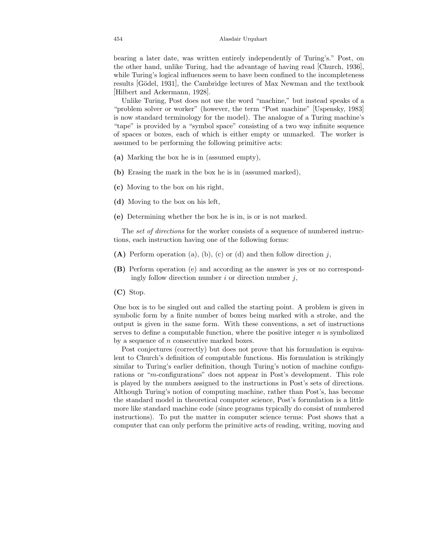bearing a later date, was written entirely independently of Turing's." Post, on the other hand, unlike Turing, had the advantage of having read [Church, 1936], while Turing's logical influences seem to have been confined to the incompleteness results Gödel, 1931, the Cambridge lectures of Max Newman and the textbook [Hilbert and Ackermann, 1928].

Unlike Turing, Post does not use the word "machine," but instead speaks of a "problem solver or worker" (however, the term "Post machine" [Uspensky, 1983] is now standard terminology for the model). The analogue of a Turing machine's "tape" is provided by a "symbol space" consisting of a two way infinite sequence of spaces or boxes, each of which is either empty or unmarked. The worker is assumed to be performing the following primitive acts:

- **(a)** Marking the box he is in (assumed empty),
- **(b)** Erasing the mark in the box he is in (assumed marked),
- **(c)** Moving to the box on his right,
- **(d)** Moving to the box on his left,
- **(e)** Determining whether the box he is in, is or is not marked.

The *set of directions* for the worker consists of a sequence of numbered instructions, each instruction having one of the following forms:

- **(A)** Perform operation (a), (b), (c) or (d) and then follow direction j,
- **(B)** Perform operation (e) and according as the answer is yes or no correspondingly follow direction number  $i$  or direction number  $j$ ,
- **(C)** Stop.

One box is to be singled out and called the starting point. A problem is given in symbolic form by a finite number of boxes being marked with a stroke, and the output is given in the same form. With these conventions, a set of instructions serves to define a computable function, where the positive integer  $n$  is symbolized by a sequence of n consecutive marked boxes.

Post conjectures (correctly) but does not prove that his formulation is equivalent to Church's definition of computable functions. His formulation is strikingly similar to Turing's earlier definition, though Turing's notion of machine configurations or "m-configurations" does not appear in Post's development. This role is played by the numbers assigned to the instructions in Post's sets of directions. Although Turing's notion of computing machine, rather than Post's, has become the standard model in theoretical computer science, Post's formulation is a little more like standard machine code (since programs typically do consist of numbered instructions). To put the matter in computer science terms: Post shows that a computer that can only perform the primitive acts of reading, writing, moving and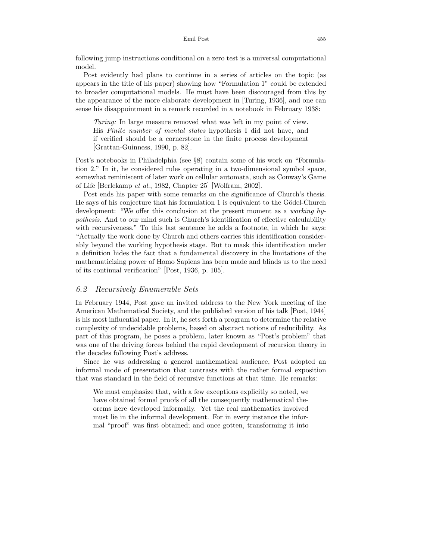following jump instructions conditional on a zero test is a universal computational model.

Post evidently had plans to continue in a series of articles on the topic (as appears in the title of his paper) showing how "Formulation 1" could be extended to broader computational models. He must have been discouraged from this by the appearance of the more elaborate development in [Turing, 1936], and one can sense his disappointment in a remark recorded in a notebook in February 1938:

*Turing:* In large measure removed what was left in my point of view. His *Finite number of mental states* hypothesis I did not have, and if verified should be a cornerstone in the finite process development [Grattan-Guinness, 1990, p. 82].

Post's notebooks in Philadelphia (see §8) contain some of his work on "Formulation 2." In it, he considered rules operating in a two-dimensional symbol space, somewhat reminiscent of later work on cellular automata, such as Conway's Game of Life [Berlekamp *et al.*, 1982, Chapter 25] [Wolfram, 2002].

Post ends his paper with some remarks on the significance of Church's thesis. He says of his conjecture that his formulation 1 is equivalent to the Gödel-Church development: "We offer this conclusion at the present moment as a *working hypothesis*. And to our mind such is Church's identification of effective calculability with recursiveness." To this last sentence he adds a footnote, in which he says: "Actually the work done by Church and others carries this identification considerably beyond the working hypothesis stage. But to mask this identification under a definition hides the fact that a fundamental discovery in the limitations of the mathematicizing power of Homo Sapiens has been made and blinds us to the need of its continual verification" [Post, 1936, p. 105].

## *6.2 Recursively Enumerable Sets*

In February 1944, Post gave an invited address to the New York meeting of the American Mathematical Society, and the published version of his talk [Post, 1944] is his most influential paper. In it, he sets forth a program to determine the relative complexity of undecidable problems, based on abstract notions of reducibility. As part of this program, he poses a problem, later known as "Post's problem" that was one of the driving forces behind the rapid development of recursion theory in the decades following Post's address.

Since he was addressing a general mathematical audience, Post adopted an informal mode of presentation that contrasts with the rather formal exposition that was standard in the field of recursive functions at that time. He remarks:

We must emphasize that, with a few exceptions explicitly so noted, we have obtained formal proofs of all the consequently mathematical theorems here developed informally. Yet the real mathematics involved must lie in the informal development. For in every instance the informal "proof" was first obtained; and once gotten, transforming it into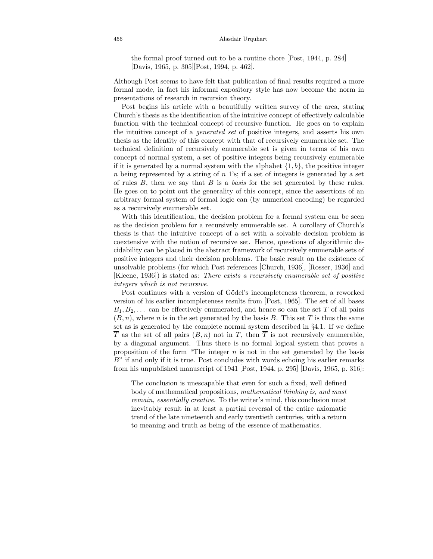the formal proof turned out to be a routine chore [Post, 1944, p. 284] [Davis, 1965, p. 305][Post, 1994, p. 462].

Although Post seems to have felt that publication of final results required a more formal mode, in fact his informal expository style has now become the norm in presentations of research in recursion theory.

Post begins his article with a beautifully written survey of the area, stating Church's thesis as the identification of the intuitive concept of effectively calculable function with the technical concept of recursive function. He goes on to explain the intuitive concept of a *generated set* of positive integers, and asserts his own thesis as the identity of this concept with that of recursively enumerable set. The technical definition of recursively enumerable set is given in terms of his own concept of normal system, a set of positive integers being recursively enumerable if it is generated by a normal system with the alphabet  $\{1, b\}$ , the positive integer n being represented by a string of  $n$  1's; if a set of integers is generated by a set of rules B, then we say that B is a *basis* for the set generated by these rules. He goes on to point out the generality of this concept, since the assertions of an arbitrary formal system of formal logic can (by numerical encoding) be regarded as a recursively enumerable set.

With this identification, the decision problem for a formal system can be seen as the decision problem for a recursively enumerable set. A corollary of Church's thesis is that the intuitive concept of a set with a solvable decision problem is coextensive with the notion of recursive set. Hence, questions of algorithmic decidability can be placed in the abstract framework of recursively enumerable sets of positive integers and their decision problems. The basic result on the existence of unsolvable problems (for which Post references [Church, 1936], [Rosser, 1936] and [Kleene, 1936]) is stated as: *There exists a recursively enumerable set of positive integers which is not recursive.*

Post continues with a version of Gödel's incompleteness theorem, a reworked version of his earlier incompleteness results from [Post, 1965]. The set of all bases  $B_1, B_2, \ldots$  can be effectively enumerated, and hence so can the set T of all pairs  $(B, n)$ , where n is in the set generated by the basis B. This set T is thus the same set as is generated by the complete normal system described in §4.1. If we define  $\overline{T}$  as the set of all pairs  $(B, n)$  not in T, then  $\overline{T}$  is not recursively enumerable, by a diagonal argument. Thus there is no formal logical system that proves a proposition of the form "The integer  $n$  is not in the set generated by the basis B" if and only if it is true. Post concludes with words echoing his earlier remarks from his unpublished manuscript of 1941 [Post, 1944, p. 295] [Davis, 1965, p. 316]:

The conclusion is unescapable that even for such a fixed, well defined body of mathematical propositions, *mathematical thinking is, and must remain, essentially creative*. To the writer's mind, this conclusion must inevitably result in at least a partial reversal of the entire axiomatic trend of the late nineteenth and early twentieth centuries, with a return to meaning and truth as being of the essence of mathematics.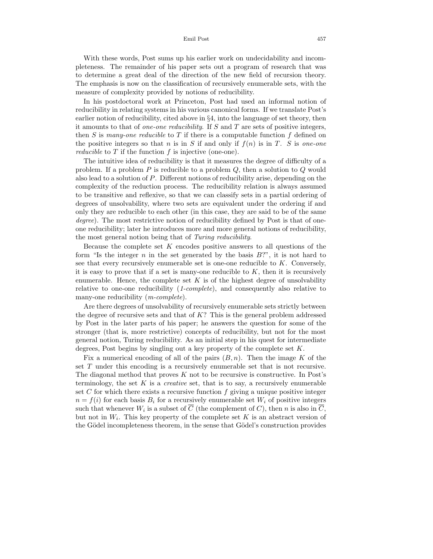With these words, Post sums up his earlier work on undecidability and incompleteness. The remainder of his paper sets out a program of research that was to determine a great deal of the direction of the new field of recursion theory. The emphasis is now on the classification of recursively enumerable sets, with the measure of complexity provided by notions of reducibility.

In his postdoctoral work at Princeton, Post had used an informal notion of reducibility in relating systems in his various canonical forms. If we translate Post's earlier notion of reducibility, cited above in §4, into the language of set theory, then it amounts to that of *one-one reducibility*. If S and T are sets of positive integers, then S is *many-one reducible* to T if there is a computable function f defined on the positive integers so that  $n$  is in  $S$  if and only if  $f(n)$  is in  $T$ .  $S$  is *one-one reducible* to T if the function f is injective (one-one).

The intuitive idea of reducibility is that it measures the degree of difficulty of a problem. If a problem  $P$  is reducible to a problem  $Q$ , then a solution to  $Q$  would also lead to a solution of P. Different notions of reducibility arise, depending on the complexity of the reduction process. The reducibility relation is always assumed to be transitive and reflexive, so that we can classify sets in a partial ordering of degrees of unsolvability, where two sets are equivalent under the ordering if and only they are reducible to each other (in this case, they are said to be of the same *degree*). The most restrictive notion of reducibility defined by Post is that of oneone reducibility; later he introduces more and more general notions of reducibility, the most general notion being that of *Turing reducibility*.

Because the complete set  $K$  encodes positive answers to all questions of the form "Is the integer n in the set generated by the basis  $B$ ?", it is not hard to see that every recursively enumerable set is one-one reducible to  $K$ . Conversely, it is easy to prove that if a set is many-one reducible to  $K$ , then it is recursively enumerable. Hence, the complete set  $K$  is of the highest degree of unsolvability relative to one-one reducibility (*1-complete*), and consequently also relative to many-one reducibility (*m-complete*).

Are there degrees of unsolvability of recursively enumerable sets strictly between the degree of recursive sets and that of  $K$ ? This is the general problem addressed by Post in the later parts of his paper; he answers the question for some of the stronger (that is, more restrictive) concepts of reducibility, but not for the most general notion, Turing reducibility. As an initial step in his quest for intermediate degrees, Post begins by singling out a key property of the complete set K.

Fix a numerical encoding of all of the pairs  $(B, n)$ . Then the image K of the set T under this encoding is a recursively enumerable set that is not recursive. The diagonal method that proves  $K$  not to be recursive is constructive. In Post's terminology, the set  $K$  is a *creative* set, that is to say, a recursively enumerable set  $C$  for which there exists a recursive function  $f$  giving a unique positive integer  $n = f(i)$  for each basis  $B_i$  for a recursively enumerable set  $W_i$  of positive integers such that whenever  $W_i$  is a subset of  $\overline{C}$  (the complement of C), then n is also in  $\overline{C}$ , but not in  $W_i$ . This key property of the complete set K is an abstract version of the Gödel incompleteness theorem, in the sense that Gödel's construction provides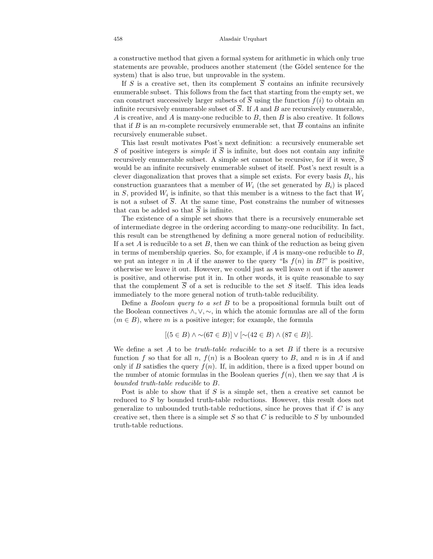a constructive method that given a formal system for arithmetic in which only true statements are provable, produces another statement (the Gödel sentence for the system) that is also true, but unprovable in the system.

If S is a creative set, then its complement  $\overline{S}$  contains an infinite recursively enumerable subset. This follows from the fact that starting from the empty set, we can construct successively larger subsets of  $\overline{S}$  using the function  $f(i)$  to obtain an infinite recursively enumerable subset of  $\overline{S}$ . If A and B are recursively enumerable, A is creative, and A is many-one reducible to  $B$ , then  $B$  is also creative. It follows that if B is an m-complete recursively enumerable set, that  $\overline{B}$  contains an infinite recursively enumerable subset.

This last result motivates Post's next definition: a recursively enumerable set S of positive integers is *simple* if  $\overline{S}$  is infinite, but does not contain any infinite recursively enumerable subset. A simple set cannot be recursive, for if it were,  $\overline{S}$ would be an infinite recursively enumerable subset of itself. Post's next result is a clever diagonalization that proves that a simple set exists. For every basis  $B_i$ , his construction guarantees that a member of  $W_i$  (the set generated by  $B_i$ ) is placed in S, provided  $W_i$  is infinite, so that this member is a witness to the fact that  $W_i$ is not a subset of  $\overline{S}$ . At the same time, Post constrains the number of witnesses that can be added so that  $\overline{S}$  is infinite.

The existence of a simple set shows that there is a recursively enumerable set of intermediate degree in the ordering according to many-one reducibility. In fact, this result can be strengthened by defining a more general notion of reducibility. If a set  $A$  is reducible to a set  $B$ , then we can think of the reduction as being given in terms of membership queries. So, for example, if  $A$  is many-one reducible to  $B$ , we put an integer n in A if the answer to the query "Is  $f(n)$  in B?" is positive, otherwise we leave it out. However, we could just as well leave  $n$  out if the answer is positive, and otherwise put it in. In other words, it is quite reasonable to say that the complement  $\overline{S}$  of a set is reducible to the set S itself. This idea leads immediately to the more general notion of truth-table reducibility.

Define a *Boolean query to a set* B to be a propositional formula built out of the Boolean connectives  $\wedge, \vee, \sim$ , in which the atomic formulas are all of the form  $(m \in B)$ , where m is a positive integer; for example, the formula

$$
[(5 \in B) \land \sim (67 \in B)] \lor [\sim (42 \in B) \land (87 \in B)].
$$

We define a set A to be *truth-table reducible* to a set B if there is a recursive function f so that for all n,  $f(n)$  is a Boolean query to B, and n is in A if and only if B satisfies the query  $f(n)$ . If, in addition, there is a fixed upper bound on the number of atomic formulas in the Boolean queries  $f(n)$ , then we say that A is *bounded truth-table reducible* to B.

Post is able to show that if  $S$  is a simple set, then a creative set cannot be reduced to S by bounded truth-table reductions. However, this result does not generalize to unbounded truth-table reductions, since he proves that if  $C$  is any creative set, then there is a simple set S so that C is reducible to S by unbounded truth-table reductions.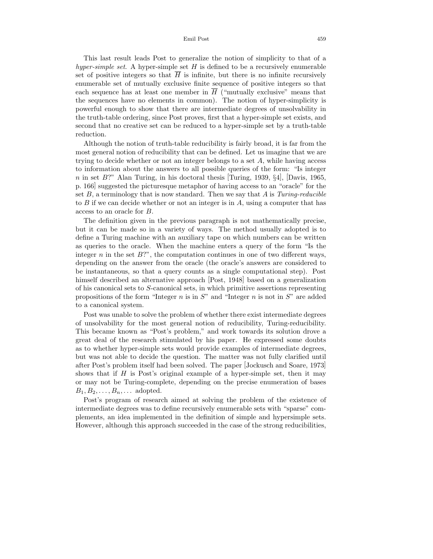This last result leads Post to generalize the notion of simplicity to that of a *hyper-simple set*. A hyper-simple set H is defined to be a recursively enumerable set of positive integers so that  $\overline{H}$  is infinite, but there is no infinite recursively enumerable set of mutually exclusive finite sequence of positive integers so that each sequence has at least one member in  $\overline{H}$  ("mutually exclusive" means that the sequences have no elements in common). The notion of hyper-simplicity is powerful enough to show that there are intermediate degrees of unsolvability in the truth-table ordering, since Post proves, first that a hyper-simple set exists, and second that no creative set can be reduced to a hyper-simple set by a truth-table reduction.

Although the notion of truth-table reducibility is fairly broad, it is far from the most general notion of reducibility that can be defined. Let us imagine that we are trying to decide whether or not an integer belongs to a set A, while having access to information about the answers to all possible queries of the form: "Is integer n in set B?" Alan Turing, in his doctoral thesis [Turing, 1939,  $\S4$ ], [Davis, 1965, p. 166] suggested the picturesque metaphor of having access to an "oracle" for the set B, a terminology that is now standard. Then we say that A is *Turing-reducible* to  $B$  if we can decide whether or not an integer is in  $A$ , using a computer that has access to an oracle for B.

The definition given in the previous paragraph is not mathematically precise, but it can be made so in a variety of ways. The method usually adopted is to define a Turing machine with an auxiliary tape on which numbers can be written as queries to the oracle. When the machine enters a query of the form "Is the integer  $n$  in the set  $B$ ?", the computation continues in one of two different ways, depending on the answer from the oracle (the oracle's answers are considered to be instantaneous, so that a query counts as a single computational step). Post himself described an alternative approach [Post, 1948] based on a generalization of his canonical sets to S-canonical sets, in which primitive assertions representing propositions of the form "Integer n is in  $S$ " and "Integer n is not in  $S$ " are added to a canonical system.

Post was unable to solve the problem of whether there exist intermediate degrees of unsolvability for the most general notion of reducibility, Turing-reducibility. This became known as "Post's problem," and work towards its solution drove a great deal of the research stimulated by his paper. He expressed some doubts as to whether hyper-simple sets would provide examples of intermediate degrees, but was not able to decide the question. The matter was not fully clarified until after Post's problem itself had been solved. The paper [Jockusch and Soare, 1973] shows that if  $H$  is Post's original example of a hyper-simple set, then it may or may not be Turing-complete, depending on the precise enumeration of bases  $B_1, B_2, \ldots, B_n, \ldots$  adopted.

Post's program of research aimed at solving the problem of the existence of intermediate degrees was to define recursively enumerable sets with "sparse" complements, an idea implemented in the definition of simple and hypersimple sets. However, although this approach succeeded in the case of the strong reducibilities,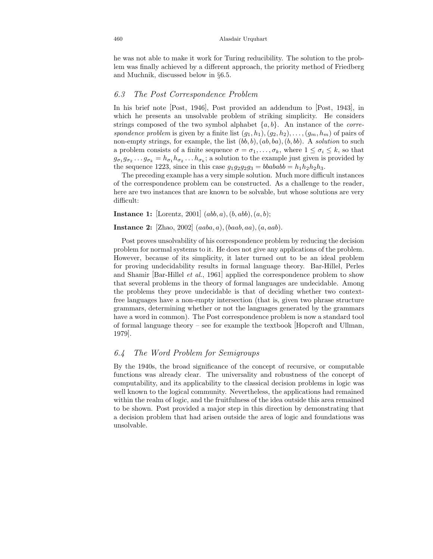he was not able to make it work for Turing reducibility. The solution to the problem was finally achieved by a different approach, the priority method of Friedberg and Muchnik, discussed below in §6.5.

# *6.3 The Post Correspondence Problem*

In his brief note [Post, 1946], Post provided an addendum to [Post, 1943], in which he presents an unsolvable problem of striking simplicity. He considers strings composed of the two symbol alphabet {a, b}. An instance of the *correspondence problem* is given by a finite list  $(g_1, h_1), (g_2, h_2), \ldots, (g_m, h_m)$  of pairs of non-empty strings, for example, the list  $(bb, b), (ab, ba), (b, bb)$ . A *solution* to such a problem consists of a finite sequence  $\sigma = \sigma_1, \ldots, \sigma_k$ , where  $1 \leq \sigma_i \leq k$ , so that  $g_{\sigma_1} g_{\sigma_2} \dots g_{\sigma_k} = h_{\sigma_1} h_{\sigma_2} \dots h_{\sigma_k}$ ; a solution to the example just given is provided by the sequence 1223, since in this case  $g_1g_2g_2g_3 = bbababb = h_1h_2h_2h_3$ .

The preceding example has a very simple solution. Much more difficult instances of the correspondence problem can be constructed. As a challenge to the reader, here are two instances that are known to be solvable, but whose solutions are very difficult:

**Instance 1:** [Lorentz, 2001]  $(abb, a)$ ,  $(b, abb)$ ,  $(a, b)$ ;

### **Instance 2:** [Zhao, 2002] (aaba, a),(baab, aa),(a, aab).

Post proves unsolvability of his correspondence problem by reducing the decision problem for normal systems to it. He does not give any applications of the problem. However, because of its simplicity, it later turned out to be an ideal problem for proving undecidability results in formal language theory. Bar-Hillel, Perles and Shamir [Bar-Hillel *et al.*, 1961] applied the correspondence problem to show that several problems in the theory of formal languages are undecidable. Among the problems they prove undecidable is that of deciding whether two contextfree languages have a non-empty intersection (that is, given two phrase structure grammars, determining whether or not the languages generated by the grammars have a word in common). The Post correspondence problem is now a standard tool of formal language theory – see for example the textbook [Hopcroft and Ullman, 1979].

# *6.4 The Word Problem for Semigroups*

By the 1940s, the broad significance of the concept of recursive, or computable functions was already clear. The universality and robustness of the concept of computability, and its applicability to the classical decision problems in logic was well known to the logical community. Nevertheless, the applications had remained within the realm of logic, and the fruitfulness of the idea outside this area remained to be shown. Post provided a major step in this direction by demonstrating that a decision problem that had arisen outside the area of logic and foundations was unsolvable.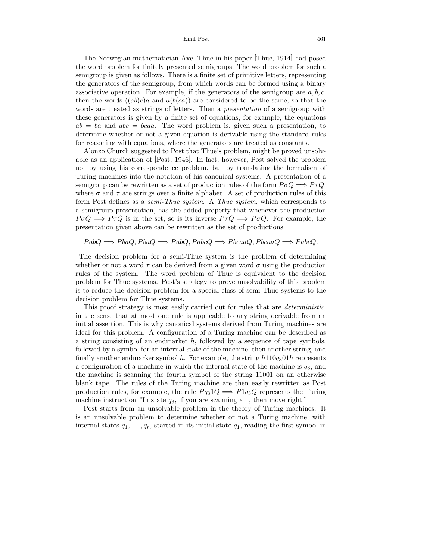The Norwegian mathematician Axel Thue in his paper [Thue, 1914] had posed the word problem for finitely presented semigroups. The word problem for such a semigroup is given as follows. There is a finite set of primitive letters, representing the generators of the semigroup, from which words can be formed using a binary associative operation. For example, if the generators of the semigroup are  $a, b, c$ , then the words  $((ab)c)a$  and  $a(b(ca))$  are considered to be the same, so that the words are treated as strings of letters. Then a *presentation* of a semigroup with these generators is given by a finite set of equations, for example, the equations  $ab = ba$  and  $abc = bcaa$ . The word problem is, given such a presentation, to determine whether or not a given equation is derivable using the standard rules for reasoning with equations, where the generators are treated as constants.

Alonzo Church suggested to Post that Thue's problem, might be proved unsolvable as an application of [Post, 1946]. In fact, however, Post solved the problem not by using his correspondence problem, but by translating the formalism of Turing machines into the notation of his canonical systems. A presentation of a semigroup can be rewritten as a set of production rules of the form  $P\sigma Q \Longrightarrow P\tau Q$ , where  $\sigma$  and  $\tau$  are strings over a finite alphabet. A set of production rules of this form Post defines as a *semi-Thue system*. A *Thue system*, which corresponds to a semigroup presentation, has the added property that whenever the production  $P\sigma Q \implies P\tau Q$  is in the set, so is its inverse  $P\tau Q \implies P\sigma Q$ . For example, the presentation given above can be rewritten as the set of productions

 $PabQ \Longrightarrow PbaQ, PbaQ \Longrightarrow PabQ, PabcQ \Longrightarrow PbcaaQ, PbcaaQ \Longrightarrow PabcQ.$ 

The decision problem for a semi-Thue system is the problem of determining whether or not a word  $\tau$  can be derived from a given word  $\sigma$  using the production rules of the system. The word problem of Thue is equivalent to the decision problem for Thue systems. Post's strategy to prove unsolvability of this problem is to reduce the decision problem for a special class of semi-Thue systems to the decision problem for Thue systems.

This proof strategy is most easily carried out for rules that are *deterministic*, in the sense that at most one rule is applicable to any string derivable from an initial assertion. This is why canonical systems derived from Turing machines are ideal for this problem. A configuration of a Turing machine can be described as a string consisting of an endmarker  $h$ , followed by a sequence of tape symbols, followed by a symbol for an internal state of the machine, then another string, and finally another endmarker symbol h. For example, the string  $h110q_301h$  represents a configuration of a machine in which the internal state of the machine is  $q_3$ , and the machine is scanning the fourth symbol of the string 11001 on an otherwise blank tape. The rules of the Turing machine are then easily rewritten as Post production rules, for example, the rule  $P_{q_3} \llbracket Q \right. \Rightarrow P_{q_3} \llbracket Q$  represents the Turing machine instruction "In state  $q_3$ , if you are scanning a 1, then move right."

Post starts from an unsolvable problem in the theory of Turing machines. It is an unsolvable problem to determine whether or not a Turing machine, with internal states  $q_1, \ldots, q_r$ , started in its initial state  $q_1$ , reading the first symbol in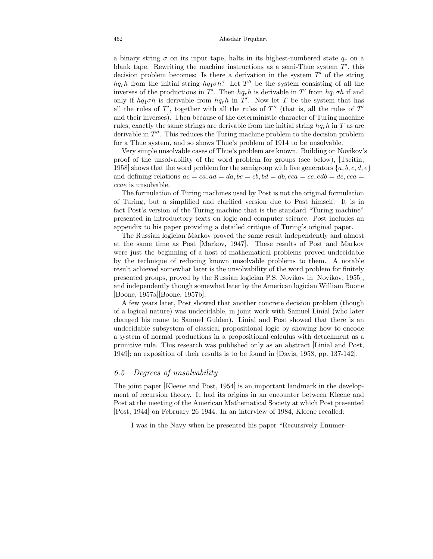#### 462 Alasdair Urquhart

a binary string  $\sigma$  on its input tape, halts in its highest-numbered state  $q_r$  on a blank tape. Rewriting the machine instructions as a semi-Thue system  $T'$ , this decision problem becomes: Is there a derivation in the system  $T'$  of the string  $hq_r$ h from the initial string  $hq_1\sigma h$ ? Let T'' be the system consisting of all the inverses of the productions in T'. Then  $hq_r h$  is derivable in T' from  $hq_1 \sigma h$  if and only if  $hq_1\sigma h$  is derivable from  $hq_rh$  in T'. Now let T be the system that has all the rules of  $T'$ , together with all the rules of  $T''$  (that is, all the rules of  $T'$ and their inverses). Then because of the deterministic character of Turing machine rules, exactly the same strings are derivable from the initial string  $hq_r h$  in T as are derivable in  $T''$ . This reduces the Turing machine problem to the decision problem for a Thue system, and so shows Thue's problem of 1914 to be unsolvable.

Very simple unsolvable cases of Thue's problem are known. Building on Novikov's proof of the unsolvability of the word problem for groups (see below), [Tseitin, 1958] shows that the word problem for the semigroup with five generators  $\{a, b, c, d, e\}$ and defining relations  $ac = ca$ ,  $ad = da$ ,  $bc = cb$ ,  $bd = db$ ,  $eca = ce$ ,  $edb = de$ ,  $cca =$ ccae is unsolvable.

The formulation of Turing machines used by Post is not the original formulation of Turing, but a simplified and clarified version due to Post himself. It is in fact Post's version of the Turing machine that is the standard "Turing machine" presented in introductory texts on logic and computer science. Post includes an appendix to his paper providing a detailed critique of Turing's original paper.

The Russian logician Markov proved the same result independently and almost at the same time as Post [Markov, 1947]. These results of Post and Markov were just the beginning of a host of mathematical problems proved undecidable by the technique of reducing known unsolvable problems to them. A notable result achieved somewhat later is the unsolvability of the word problem for finitely presented groups, proved by the Russian logician P.S. Novikov in [Novikov, 1955], and independently though somewhat later by the American logician William Boone [Boone, 1957a][Boone, 1957b].

A few years later, Post showed that another concrete decision problem (though of a logical nature) was undecidable, in joint work with Samuel Linial (who later changed his name to Samuel Gulden). Linial and Post showed that there is an undecidable subsystem of classical propositional logic by showing how to encode a system of normal productions in a propositional calculus with detachment as a primitive rule. This research was published only as an abstract [Linial and Post, 1949]; an exposition of their results is to be found in [Davis, 1958, pp. 137-142].

# *6.5 Degrees of unsolvability*

The joint paper [Kleene and Post, 1954] is an important landmark in the development of recursion theory. It had its origins in an encounter between Kleene and Post at the meeting of the American Mathematical Society at which Post presented [Post, 1944] on February 26 1944. In an interview of 1984, Kleene recalled:

I was in the Navy when he presented his paper "Recursively Enumer-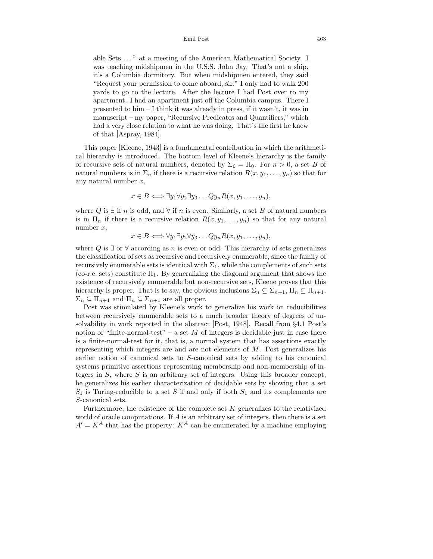able Sets . . . " at a meeting of the American Mathematical Society. I was teaching midshipmen in the U.S.S. John Jay. That's not a ship, it's a Columbia dormitory. But when midshipmen entered, they said "Request your permission to come aboard, sir." I only had to walk 200 yards to go to the lecture. After the lecture I had Post over to my apartment. I had an apartment just off the Columbia campus. There I presented to him – I think it was already in press, if it wasn't, it was in manuscript – my paper, "Recursive Predicates and Quantifiers," which had a very close relation to what he was doing. That's the first he knew of that [Aspray, 1984].

This paper [Kleene, 1943] is a fundamental contribution in which the arithmetical hierarchy is introduced. The bottom level of Kleene's hierarchy is the family of recursive sets of natural numbers, denoted by  $\Sigma_0 = \Pi_0$ . For  $n > 0$ , a set B of natural numbers is in  $\Sigma_n$  if there is a recursive relation  $R(x, y_1, \ldots, y_n)$  so that for any natural number  $x$ ,

$$
x \in B \Longleftrightarrow \exists y_1 \forall y_2 \exists y_3 \dots Q y_n R(x, y_1, \dots, y_n),
$$

where Q is  $\exists$  if n is odd, and  $\forall$  if n is even. Similarly, a set B of natural numbers is in  $\Pi_n$  if there is a recursive relation  $R(x, y_1, \ldots, y_n)$  so that for any natural number x,

$$
x \in B \Longleftrightarrow \forall y_1 \exists y_2 \forall y_3 \dots Q y_n R(x, y_1, \dots, y_n),
$$

where Q is  $\exists$  or  $\forall$  according as n is even or odd. This hierarchy of sets generalizes the classification of sets as recursive and recursively enumerable, since the family of recursively enumerable sets is identical with  $\Sigma_1$ , while the complements of such sets (co-r.e. sets) constitute  $\Pi_1$ . By generalizing the diagonal argument that shows the existence of recursively enumerable but non-recursive sets, Kleene proves that this hierarchy is proper. That is to say, the obvious inclusions  $\Sigma_n \subseteq \Sigma_{n+1}$ ,  $\Pi_n \subseteq \Pi_{n+1}$ ,  $\Sigma_n \subseteq \Pi_{n+1}$  and  $\Pi_n \subseteq \Sigma_{n+1}$  are all proper.

Post was stimulated by Kleene's work to generalize his work on reducibilities between recursively enumerable sets to a much broader theory of degrees of unsolvability in work reported in the abstract [Post, 1948]. Recall from §4.1 Post's notion of "finite-normal-test" – a set  $M$  of integers is decidable just in case there is a finite-normal-test for it, that is, a normal system that has assertions exactly representing which integers are and are not elements of M. Post generalizes his earlier notion of canonical sets to S-canonical sets by adding to his canonical systems primitive assertions representing membership and non-membership of integers in  $S$ , where  $S$  is an arbitrary set of integers. Using this broader concept, he generalizes his earlier characterization of decidable sets by showing that a set  $S_1$  is Turing-reducible to a set S if and only if both  $S_1$  and its complements are S-canonical sets.

Furthermore, the existence of the complete set  $K$  generalizes to the relativized world of oracle computations. If A is an arbitrary set of integers, then there is a set  $A' = K^A$  that has the property:  $K^A$  can be enumerated by a machine employing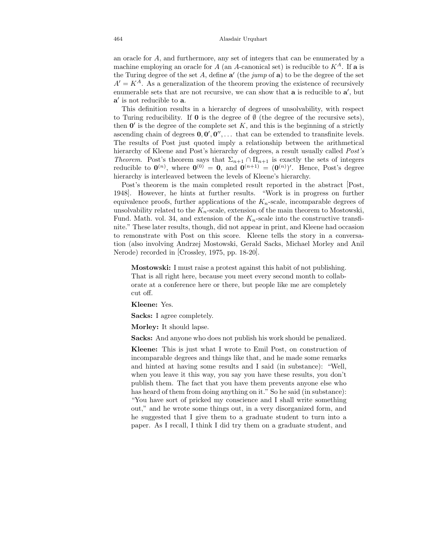an oracle for A, and furthermore, any set of integers that can be enumerated by a machine employing an oracle for A (an A-canonical set) is reducible to  $K^A$ . If **a** is the Turing degree of the set A, define  $a'$  (the *jump* of  $a$ ) to be the degree of the set  $A' = K<sup>A</sup>$ . As a generalization of the theorem proving the existence of recursively enumerable sets that are not recursive, we can show that **a** is reducible to **a**', but **a** is not reducible to **a**.

This definition results in a hierarchy of degrees of unsolvability, with respect to Turing reducibility. If **0** is the degree of  $\emptyset$  (the degree of the recursive sets), then  $\mathbf{0}'$  is the degree of the complete set K, and this is the beginning of a strictly ascending chain of degrees  $0, 0', 0'', \ldots$  that can be extended to transfinite levels. The results of Post just quoted imply a relationship between the arithmetical hierarchy of Kleene and Post's hierarchy of degrees, a result usually called *Post's Theorem*. Post's theorem says that  $\Sigma_{n+1} \cap \Pi_{n+1}$  is exactly the sets of integers reducible to  $\mathbf{0}^{(n)}$ , where  $\mathbf{0}^{(0)} = \mathbf{0}$ , and  $\mathbf{0}^{(n+1)} = (\mathbf{0}^{(n)})'$ . Hence, Post's degree hierarchy is interleaved between the levels of Kleene's hierarchy.

Post's theorem is the main completed result reported in the abstract [Post, 1948]. However, he hints at further results. "Work is in progress on further equivalence proofs, further applications of the  $K_n$ -scale, incomparable degrees of unsolvability related to the  $K_n$ -scale, extension of the main theorem to Mostowski, Fund. Math. vol. 34, and extension of the  $K_n$ -scale into the constructive transfinite." These later results, though, did not appear in print, and Kleene had occasion to remonstrate with Post on this score. Kleene tells the story in a conversation (also involving Andrzej Mostowski, Gerald Sacks, Michael Morley and Anil Nerode) recorded in [Crossley, 1975, pp. 18-20].

**Mostowski:** I must raise a protest against this habit of not publishing. That is all right here, because you meet every second month to collaborate at a conference here or there, but people like me are completely cut off.

**Kleene:** Yes.

**Sacks:** I agree completely.

**Morley:** It should lapse.

**Sacks:** And anyone who does not publish his work should be penalized.

**Kleene:** This is just what I wrote to Emil Post, on construction of incomparable degrees and things like that, and he made some remarks and hinted at having some results and I said (in substance): "Well, when you leave it this way, you say you have these results, you don't publish them. The fact that you have them prevents anyone else who has heard of them from doing anything on it." So he said (in substance): "You have sort of pricked my conscience and I shall write something out," and he wrote some things out, in a very disorganized form, and he suggested that I give them to a graduate student to turn into a paper. As I recall, I think I did try them on a graduate student, and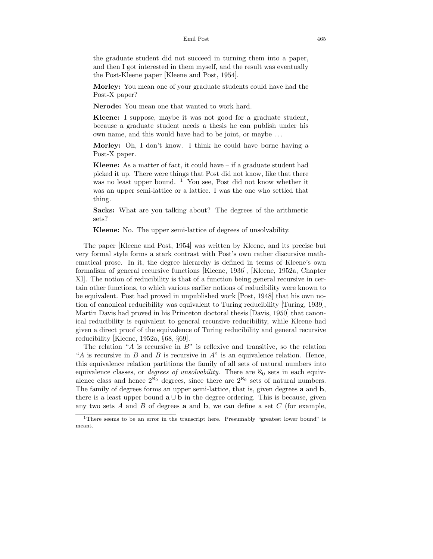the graduate student did not succeed in turning them into a paper, and then I got interested in them myself, and the result was eventually the Post-Kleene paper [Kleene and Post, 1954].

**Morley:** You mean one of your graduate students could have had the Post-X paper?

**Nerode:** You mean one that wanted to work hard.

**Kleene:** I suppose, maybe it was not good for a graduate student, because a graduate student needs a thesis he can publish under his own name, and this would have had to be joint, or maybe . . .

**Morley:** Oh, I don't know. I think he could have borne having a Post-X paper.

**Kleene:** As a matter of fact, it could have – if a graduate student had picked it up. There were things that Post did not know, like that there was no least upper bound.  $1$  You see, Post did not know whether it was an upper semi-lattice or a lattice. I was the one who settled that thing.

**Sacks:** What are you talking about? The degrees of the arithmetic sets?

**Kleene:** No. The upper semi-lattice of degrees of unsolvability.

The paper [Kleene and Post, 1954] was written by Kleene, and its precise but very formal style forms a stark contrast with Post's own rather discursive mathematical prose. In it, the degree hierarchy is defined in terms of Kleene's own formalism of general recursive functions [Kleene, 1936], [Kleene, 1952a, Chapter XI]. The notion of reducibility is that of a function being general recursive in certain other functions, to which various earlier notions of reducibility were known to be equivalent. Post had proved in unpublished work [Post, 1948] that his own notion of canonical reducibility was equivalent to Turing reducibility [Turing, 1939], Martin Davis had proved in his Princeton doctoral thesis [Davis, 1950] that canonical reducibility is equivalent to general recursive reducibility, while Kleene had given a direct proof of the equivalence of Turing reducibility and general recursive reducibility [Kleene, 1952a, §68, §69].

The relation "A is recursive in  $B$ " is reflexive and transitive, so the relation "A is recursive in  $B$  and  $B$  is recursive in  $A$ " is an equivalence relation. Hence, this equivalence relation partitions the family of all sets of natural numbers into equivalence classes, or *degrees of unsolvability*. There are  $\aleph_0$  sets in each equivalence class and hence  $2^{\aleph_0}$  degrees, since there are  $2^{\aleph_0}$  sets of natural numbers. The family of degrees forms an upper semi-lattice, that is, given degrees **a** and **b**, there is a least upper bound **a** ∪ **b** in the degree ordering. This is because, given any two sets A and B of degrees **a** and **b**, we can define a set C (for example,

<sup>&</sup>lt;sup>1</sup>There seems to be an error in the transcript here. Presumably "greatest lower bound" is meant.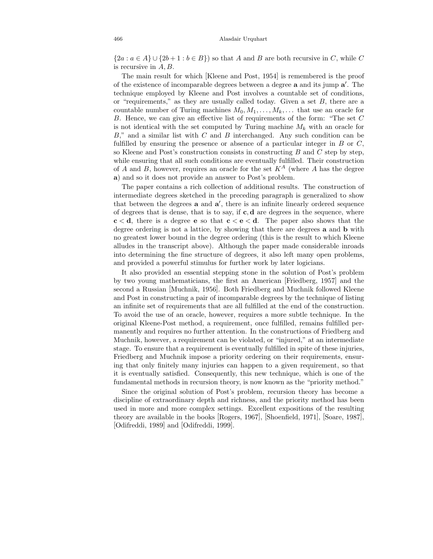${2a : a \in A} \cup {2b+1:b \in B}$  so that A and B are both recursive in C, while C is recursive in  $A, B$ .

The main result for which [Kleene and Post, 1954] is remembered is the proof of the existence of incomparable degrees between a degree **a** and its jump **a** . The technique employed by Kleene and Post involves a countable set of conditions, or "requirements," as they are usually called today. Given a set  $B$ , there are a countable number of Turing machines  $M_0, M_1, \ldots, M_k, \ldots$  that use an oracle for B. Hence, we can give an effective list of requirements of the form: "The set C is not identical with the set computed by Turing machine  $M_k$  with an oracle for  $B$ ," and a similar list with C and B interchanged. Any such condition can be fulfilled by ensuring the presence or absence of a particular integer in  $B$  or  $C$ , so Kleene and Post's construction consists in constructing  $B$  and  $C$  step by step, while ensuring that all such conditions are eventually fulfilled. Their construction of A and B, however, requires an oracle for the set  $K^A$  (where A has the degree **a**) and so it does not provide an answer to Post's problem.

The paper contains a rich collection of additional results. The construction of intermediate degrees sketched in the preceding paragraph is generalized to show that between the degrees **a** and **a** , there is an infinite linearly ordered sequence of degrees that is dense, that is to say, if **c**, **d** are degrees in the sequence, where  $c < d$ , there is a degree **e** so that  $c < e < d$ . The paper also shows that the degree ordering is not a lattice, by showing that there are degrees **a** and **b** with no greatest lower bound in the degree ordering (this is the result to which Kleene alludes in the transcript above). Although the paper made considerable inroads into determining the fine structure of degrees, it also left many open problems, and provided a powerful stimulus for further work by later logicians.

It also provided an essential stepping stone in the solution of Post's problem by two young mathematicians, the first an American [Friedberg, 1957] and the second a Russian [Muchnik, 1956]. Both Friedberg and Muchnik followed Kleene and Post in constructing a pair of incomparable degrees by the technique of listing an infinite set of requirements that are all fulfilled at the end of the construction. To avoid the use of an oracle, however, requires a more subtle technique. In the original Kleene-Post method, a requirement, once fulfilled, remains fulfilled permanently and requires no further attention. In the constructions of Friedberg and Muchnik, however, a requirement can be violated, or "injured," at an intermediate stage. To ensure that a requirement is eventually fulfilled in spite of these injuries, Friedberg and Muchnik impose a priority ordering on their requirements, ensuring that only finitely many injuries can happen to a given requirement, so that it is eventually satisfied. Consequently, this new technique, which is one of the fundamental methods in recursion theory, is now known as the "priority method."

Since the original solution of Post's problem, recursion theory has become a discipline of extraordinary depth and richness, and the priority method has been used in more and more complex settings. Excellent expositions of the resulting theory are available in the books [Rogers, 1967], [Shoenfield, 1971], [Soare, 1987], [Odifreddi, 1989] and [Odifreddi, 1999].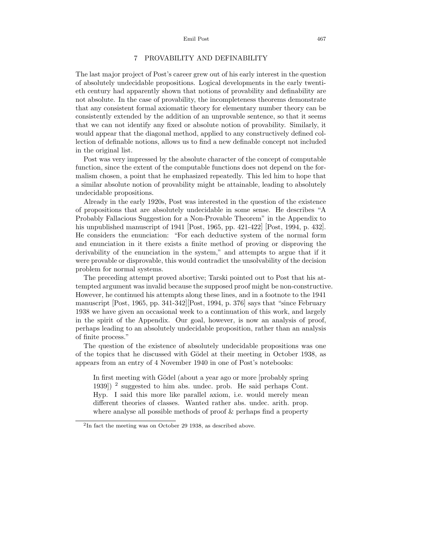## 7 PROVABILITY AND DEFINABILITY

The last major project of Post's career grew out of his early interest in the question of absolutely undecidable propositions. Logical developments in the early twentieth century had apparently shown that notions of provability and definability are not absolute. In the case of provability, the incompleteness theorems demonstrate that any consistent formal axiomatic theory for elementary number theory can be consistently extended by the addition of an unprovable sentence, so that it seems that we can not identify any fixed or absolute notion of provability. Similarly, it would appear that the diagonal method, applied to any constructively defined collection of definable notions, allows us to find a new definable concept not included in the original list.

Post was very impressed by the absolute character of the concept of computable function, since the extent of the computable functions does not depend on the formalism chosen, a point that he emphasized repeatedly. This led him to hope that a similar absolute notion of provability might be attainable, leading to absolutely undecidable propositions.

Already in the early 1920s, Post was interested in the question of the existence of propositions that are absolutely undecidable in some sense. He describes "A Probably Fallacious Suggestion for a Non-Provable Theorem" in the Appendix to his unpublished manuscript of 1941 [Post, 1965, pp. 421-422] [Post, 1994, p. 432]. He considers the enunciation: "For each deductive system of the normal form and enunciation in it there exists a finite method of proving or disproving the derivability of the enunciation in the system," and attempts to argue that if it were provable or disprovable, this would contradict the unsolvability of the decision problem for normal systems.

The preceding attempt proved abortive; Tarski pointed out to Post that his attempted argument was invalid because the supposed proof might be non-constructive. However, he continued his attempts along these lines, and in a footnote to the 1941 manuscript [Post, 1965, pp. 341-342][Post, 1994, p. 376] says that "since February 1938 we have given an occasional week to a continuation of this work, and largely in the spirit of the Appendix. Our goal, however, is now an analysis of proof, perhaps leading to an absolutely undecidable proposition, rather than an analysis of finite process."

The question of the existence of absolutely undecidable propositions was one of the topics that he discussed with Gödel at their meeting in October 1938, as appears from an entry of 4 November 1940 in one of Post's notebooks:

In first meeting with Gödel (about a year ago or more [probably spring 1939]) <sup>2</sup> suggested to him abs. undec. prob. He said perhaps Cont. Hyp. I said this more like parallel axiom, i.e. would merely mean different theories of classes. Wanted rather abs. undec. arith. prop. where analyse all possible methods of proof & perhaps find a property

<sup>2</sup>In fact the meeting was on October 29 1938, as described above.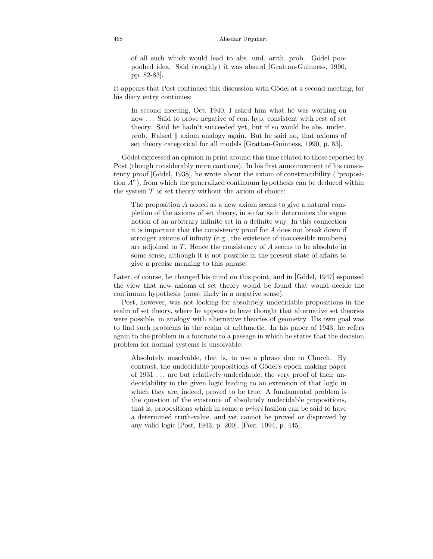#### 468 Alasdair Urquhart

of all such which would lead to abs. und. arith. prob. Gödel poopoohed idea. Said (roughly) it was absurd [Grattan-Guinness, 1990, pp. 82-83].

It appears that Post continued this discussion with Gödel at a second meeting, for his diary entry continues:

In second meeting, Oct. 1940, I asked him what he was working on now . . . Said to prove negative of con. hyp. consistent with rest of set theory. Said he hadn't succeeded yet, but if so would be abs. undec. prob. Raised  $\parallel$  axiom analogy again. But he said no, that axioms of set theory categorical for all models [Grattan-Guinness, 1990, p. 83].

Gödel expressed an opinion in print around this time related to those reported by Post (though considerably more cautious). In his first announcement of his consistency proof [Gödel, 1938], he wrote about the axiom of constructibility ("proposition  $A$ "), from which the generalized continuum hypothesis can be deduced within the system  $T$  of set theory without the axiom of choice:

The proposition A added as a new axiom seems to give a natural completion of the axioms of set theory, in so far as it determines the vague notion of an arbitrary infinite set in a definite way. In this connection it is important that the consistency proof for A does not break down if stronger axioms of infinity (e.g., the existence of inaccessible numbers) are adjoined to T. Hence the consistency of A seems to be absolute in some sense, although it is not possible in the present state of affairs to give a precise meaning to this phrase.

Later, of course, he changed his mind on this point, and in  $|Gödel, 1947|$  espoused the view that new axioms of set theory would be found that would decide the continuum hypothesis (most likely in a negative sense).

Post, however, was not looking for absolutely undecidable propositions in the realm of set theory, where he appears to have thought that alternative set theories were possible, in analogy with alternative theories of geometry. His own goal was to find such problems in the realm of arithmetic. In his paper of 1943, he refers again to the problem in a footnote to a passage in which he states that the decision problem for normal systems is unsolvable:

Absolutely unsolvable, that is, to use a phrase due to Church. By contrast, the undecidable propositions of Gödel's epoch making paper of 1931... are but relatively undecidable, the very proof of their undecidability in the given logic leading to an extension of that logic in which they are, indeed, proved to be true. A fundamental problem is the question of the existence of absolutely undecidable propositions, that is, propositions which in some *a priori* fashion can be said to have a determined truth-value, and yet cannot be proved or disproved by any valid logic [Post, 1943, p. 200], [Post, 1994, p. 445].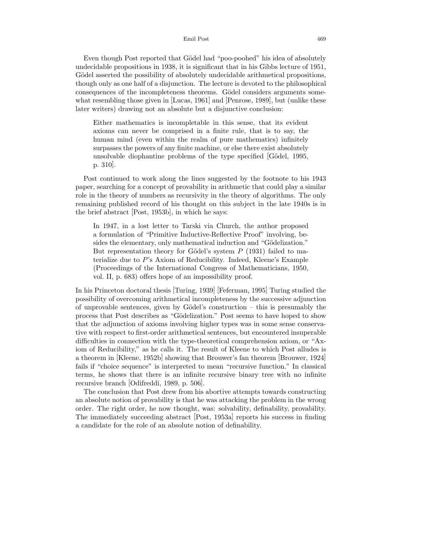Even though Post reported that Gödel had "poo-poohed" his idea of absolutely undecidable propositions in 1938, it is significant that in his Gibbs lecture of 1951, Gödel asserted the possibility of absolutely undecidable arithmetical propositions, though only as one half of a disjunction. The lecture is devoted to the philosophical consequences of the incompleteness theorems. Gödel considers arguments somewhat resembling those given in [Lucas, 1961] and [Penrose, 1989], but (unlike these later writers) drawing not an absolute but a disjunctive conclusion:

Either mathematics is incompletable in this sense, that its evident axioms can never be comprised in a finite rule, that is to say, the human mind (even within the realm of pure mathematics) infinitely surpasses the powers of any finite machine, or else there exist absolutely unsolvable diophantine problems of the type specified  $[Gödel, 1995,$ p. 310].

Post continued to work along the lines suggested by the footnote to his 1943 paper, searching for a concept of provability in arithmetic that could play a similar role in the theory of numbers as recursivity in the theory of algorithms. The only remaining published record of his thought on this subject in the late 1940s is in the brief abstract [Post, 1953b], in which he says:

In 1947, in a lost letter to Tarski via Church, the author proposed a formulation of "Primitive Inductive-Reflective Proof" involving, besides the elementary, only mathematical induction and "Gödelization." But representation theory for Gödel's system  $P(1931)$  failed to materialize due to P's Axiom of Reducibility. Indeed, Kleene's Example (Proceedings of the International Congress of Mathematicians, 1950, vol. II, p. 683) offers hope of an impossibility proof.

In his Princeton doctoral thesis [Turing, 1939] [Feferman, 1995] Turing studied the possibility of overcoming arithmetical incompleteness by the successive adjunction of unprovable sentences, given by Gödel's construction – this is presumably the process that Post describes as "Gödelization." Post seems to have hoped to show that the adjunction of axioms involving higher types was in some sense conservative with respect to first-order arithmetical sentences, but encountered insuperable difficulties in connection with the type-theoretical comprehension axiom, or "Axiom of Reducibility," as he calls it. The result of Kleene to which Post alludes is a theorem in [Kleene, 1952b] showing that Brouwer's fan theorem [Brouwer, 1924] fails if "choice sequence" is interpreted to mean "recursive function." In classical terms, he shows that there is an infinite recursive binary tree with no infinite recursive branch [Odifreddi, 1989, p. 506].

The conclusion that Post drew from his abortive attempts towards constructing an absolute notion of provability is that he was attacking the problem in the wrong order. The right order, he now thought, was: solvability, definability, provability. The immediately succeeding abstract [Post, 1953a] reports his success in finding a candidate for the role of an absolute notion of definability.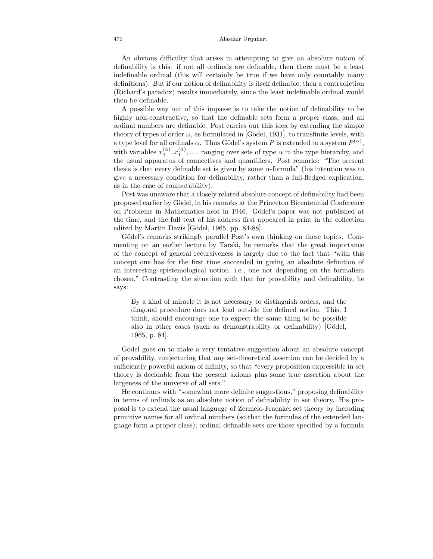#### 470 Alasdair Urquhart

An obvious difficulty that arises in attempting to give an absolute notion of definability is this: if not all ordinals are definable, then there must be a least indefinable ordinal (this will certainly be true if we have only countably many definitions). But if our notion of definability is itself definable, then a contradiction (Richard's paradox) results immediately, since the least indefinable ordinal would then be definable.

A possible way out of this impasse is to take the notion of definability to be highly non-constructive, so that the definable sets form a proper class, and all ordinal numbers are definable. Post carries out this idea by extending the simple theory of types of order  $\omega$ , as formulated in [Gödel, 1931], to transfinite levels, with a type level for all ordinals  $\alpha$ . Thus Gödel's system P is extended to a system  $P^{(\alpha)}$ , with variables  $x_0^{(\alpha)}, x_1^{(\alpha)}, \ldots$  ranging over sets of type  $\alpha$  in the type hierarchy, and the usual apparatus of connectives and quantifiers. Post remarks: "The present thesis is that every definable set is given by some  $\alpha$ -formula" (his intention was to give a necessary condition for definability, rather than a full-fledged explication, as in the case of computability).

Post was unaware that a closely related absolute concept of definability had been proposed earlier by G¨odel, in his remarks at the Princeton Bicentennial Conference on Problems in Mathematics held in 1946. Gödel's paper was not published at the time, and the full text of his address first appeared in print in the collection edited by Martin Davis [Gödel, 1965, pp. 84-88].

Gödel's remarks strikingly parallel Post's own thinking on these topics. Commenting on an earlier lecture by Tarski, he remarks that the great importance of the concept of general recursiveness is largely due to the fact that "with this concept one has for the first time succeeded in giving an absolute definition of an interesting epistemological notion, i.e., one not depending on the formalism chosen." Contrasting the situation with that for provability and definability, he says:

By a kind of miracle it is not necessary to distinguish orders, and the diagonal procedure does not lead outside the defined notion. This, I think, should encourage one to expect the same thing to be possible also in other cases (such as demonstrability or definability) [Gödel, 1965, p. 84].

Gödel goes on to make a very tentative suggestion about an absolute concept of provability, conjecturing that any set-theoretical assertion can be decided by a sufficiently powerful axiom of infinity, so that "every proposition expressible in set theory is decidable from the present axioms plus some true assertion about the largeness of the universe of all sets."

He continues with "somewhat more definite suggestions," proposing definability in terms of ordinals as an absolute notion of definability in set theory. His proposal is to extend the usual language of Zermelo-Fraenkel set theory by including primitive names for all ordinal numbers (so that the formulas of the extended language form a proper class); ordinal definable sets are those specified by a formula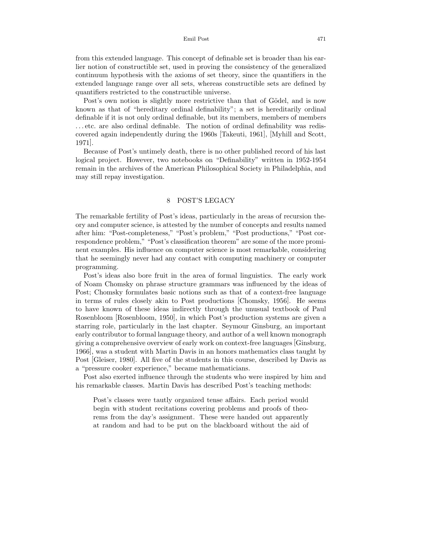from this extended language. This concept of definable set is broader than his earlier notion of constructible set, used in proving the consistency of the generalized continuum hypothesis with the axioms of set theory, since the quantifiers in the extended language range over all sets, whereas constructible sets are defined by quantifiers restricted to the constructible universe.

Post's own notion is slightly more restrictive than that of Gödel, and is now known as that of "hereditary ordinal definability"; a set is hereditarily ordinal definable if it is not only ordinal definable, but its members, members of members . . . etc. are also ordinal definable. The notion of ordinal definability was rediscovered again independently during the 1960s [Takeuti, 1961], [Myhill and Scott, 1971].

Because of Post's untimely death, there is no other published record of his last logical project. However, two notebooks on "Definability" written in 1952-1954 remain in the archives of the American Philosophical Society in Philadelphia, and may still repay investigation.

### 8 POST'S LEGACY

The remarkable fertility of Post's ideas, particularly in the areas of recursion theory and computer science, is attested by the number of concepts and results named after him: "Post-completeness," "Post's problem," "Post productions," "Post correspondence problem," "Post's classification theorem" are some of the more prominent examples. His influence on computer science is most remarkable, considering that he seemingly never had any contact with computing machinery or computer programming.

Post's ideas also bore fruit in the area of formal linguistics. The early work of Noam Chomsky on phrase structure grammars was influenced by the ideas of Post; Chomsky formulates basic notions such as that of a context-free language in terms of rules closely akin to Post productions [Chomsky, 1956]. He seems to have known of these ideas indirectly through the unusual textbook of Paul Rosenbloom [Rosenbloom, 1950], in which Post's production systems are given a starring role, particularly in the last chapter. Seymour Ginsburg, an important early contributor to formal language theory, and author of a well known monograph giving a comprehensive overview of early work on context-free languages [Ginsburg, 1966], was a student with Martin Davis in an honors mathematics class taught by Post [Gleiser, 1980]. All five of the students in this course, described by Davis as a "pressure cooker experience," became mathematicians.

Post also exerted influence through the students who were inspired by him and his remarkable classes. Martin Davis has described Post's teaching methods:

Post's classes were tautly organized tense affairs. Each period would begin with student recitations covering problems and proofs of theorems from the day's assignment. These were handed out apparently at random and had to be put on the blackboard without the aid of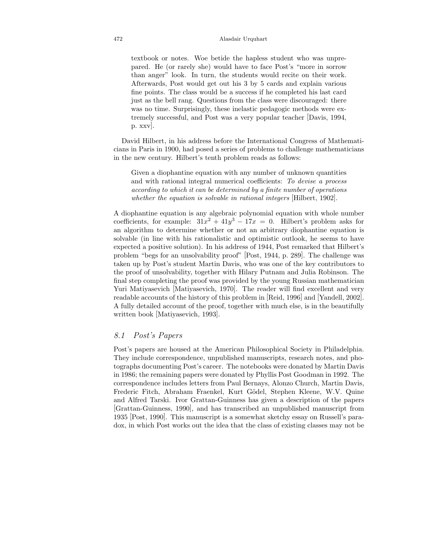textbook or notes. Woe betide the hapless student who was unprepared. He (or rarely she) would have to face Post's "more in sorrow than anger" look. In turn, the students would recite on their work. Afterwards, Post would get out his 3 by 5 cards and explain various fine points. The class would be a success if he completed his last card just as the bell rang. Questions from the class were discouraged: there was no time. Surprisingly, these inelastic pedagogic methods were extremely successful, and Post was a very popular teacher [Davis, 1994, p. xxv].

David Hilbert, in his address before the International Congress of Mathematicians in Paris in 1900, had posed a series of problems to challenge mathematicians in the new century. Hilbert's tenth problem reads as follows:

Given a diophantine equation with any number of unknown quantities and with rational integral numerical coefficients: *To devise a process according to which it can be determined by a finite number of operations whether the equation is solvable in rational integers* [Hilbert, 1902].

A diophantine equation is any algebraic polynomial equation with whole number coefficients, for example:  $31x^2 + 41y^3 - 17x = 0$ . Hilbert's problem asks for an algorithm to determine whether or not an arbitrary diophantine equation is solvable (in line with his rationalistic and optimistic outlook, he seems to have expected a positive solution). In his address of 1944, Post remarked that Hilbert's problem "begs for an unsolvability proof" [Post, 1944, p. 289]. The challenge was taken up by Post's student Martin Davis, who was one of the key contributors to the proof of unsolvability, together with Hilary Putnam and Julia Robinson. The final step completing the proof was provided by the young Russian mathematician Yuri Matiyasevich [Matiyasevich, 1970]. The reader will find excellent and very readable accounts of the history of this problem in [Reid, 1996] and [Yandell, 2002]. A fully detailed account of the proof, together with much else, is in the beautifully written book [Matiyasevich, 1993].

# *8.1 Post's Papers*

Post's papers are housed at the American Philosophical Society in Philadelphia. They include correspondence, unpublished manuscripts, research notes, and photographs documenting Post's career. The notebooks were donated by Martin Davis in 1986; the remaining papers were donated by Phyllis Post Goodman in 1992. The correspondence includes letters from Paul Bernays, Alonzo Church, Martin Davis, Frederic Fitch, Abraham Fraenkel, Kurt Gödel, Stephen Kleene, W.V. Quine and Alfred Tarski. Ivor Grattan-Guinness has given a description of the papers [Grattan-Guinness, 1990], and has transcribed an unpublished manuscript from 1935 [Post, 1990]. This manuscript is a somewhat sketchy essay on Russell's paradox, in which Post works out the idea that the class of existing classes may not be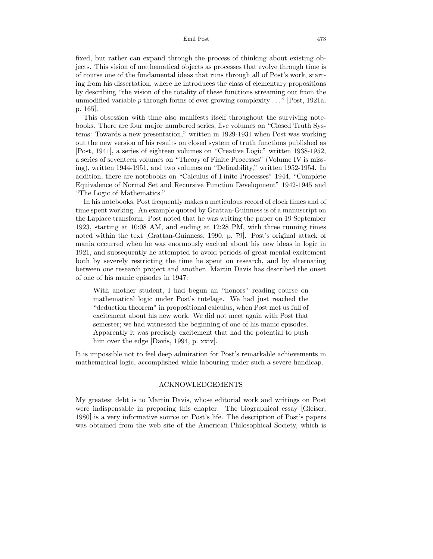fixed, but rather can expand through the process of thinking about existing objects. This vision of mathematical objects as processes that evolve through time is of course one of the fundamental ideas that runs through all of Post's work, starting from his dissertation, where he introduces the class of elementary propositions by describing "the vision of the totality of these functions streaming out from the unmodified variable p through forms of ever growing complexity  $\dots$ ." [Post, 1921a, p. 165].

This obsession with time also manifests itself throughout the surviving notebooks. There are four major numbered series, five volumes on "Closed Truth Systems: Towards a new presentation," written in 1929-1931 when Post was working out the new version of his results on closed system of truth functions published as [Post, 1941], a series of eighteen volumes on "Creative Logic" written 1938-1952, a series of seventeen volumes on "Theory of Finite Processes" (Volume IV is missing), written 1944-1951, and two volumes on "Definability," written 1952-1954. In addition, there are notebooks on "Calculus of Finite Processes" 1944, "Complete Equivalence of Normal Set and Recursive Function Development" 1942-1945 and "The Logic of Mathematics."

In his notebooks, Post frequently makes a meticulous record of clock times and of time spent working. An example quoted by Grattan-Guinness is of a manuscript on the Laplace transform. Post noted that he was writing the paper on 19 September 1923, starting at 10:08 AM, and ending at 12:28 PM, with three running times noted within the text [Grattan-Guinness, 1990, p. 79]. Post's original attack of mania occurred when he was enormously excited about his new ideas in logic in 1921, and subsequently he attempted to avoid periods of great mental excitement both by severely restricting the time he spent on research, and by alternating between one research project and another. Martin Davis has described the onset of one of his manic episodes in 1947:

With another student, I had begun an "honors" reading course on mathematical logic under Post's tutelage. We had just reached the "deduction theorem" in propositional calculus, when Post met us full of excitement about his new work. We did not meet again with Post that semester; we had witnessed the beginning of one of his manic episodes. Apparently it was precisely excitement that had the potential to push him over the edge [Davis, 1994, p. xxiv].

It is impossible not to feel deep admiration for Post's remarkable achievements in mathematical logic, accomplished while labouring under such a severe handicap.

### ACKNOWLEDGEMENTS

My greatest debt is to Martin Davis, whose editorial work and writings on Post were indispensable in preparing this chapter. The biographical essay [Gleiser, 1980] is a very informative source on Post's life. The description of Post's papers was obtained from the web site of the American Philosophical Society, which is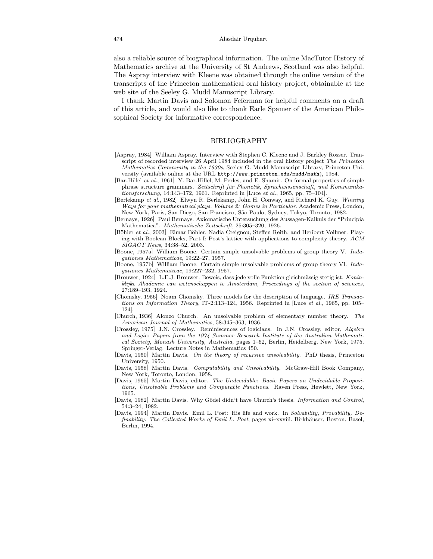also a reliable source of biographical information. The online MacTutor History of Mathematics archive at the University of St Andrews, Scotland was also helpful. The Aspray interview with Kleene was obtained through the online version of the transcripts of the Princeton mathematical oral history project, obtainable at the web site of the Seeley G. Mudd Manuscript Library.

I thank Martin Davis and Solomon Feferman for helpful comments on a draft of this article, and would also like to thank Earle Spamer of the American Philosophical Society for informative correspondence.

#### BIBLIOGRAPHY

- [Aspray, 1984] William Aspray. Interview with Stephen C. Kleene and J. Barkley Rosser. Transcript of recorded interview 26 April 1984 included in the oral history project The Princeton Mathematics Community in the 1930s, Seeley G. Mudd Manuscript Library, Princeton University (available online at the URL http://www.princeton.edu/mudd/math), 1984.
- [Bar-Hillel et al., 1961] Y. Bar-Hillel, M. Perles, and E. Shamir. On formal properties of simple phrase structure grammars. Zeitschrift für Phonetik, Sprachwissenschaft, und Kommunikationsforschung, 14:143–172, 1961. Reprinted in [Luce et al., 1965, pp. 75–104].
- [Berlekamp et al., 1982] Elwyn R. Berlekamp, John H. Conway, and Richard K. Guy. Winning Ways for your mathematical plays. Volume 2: Games in Particular. Academic Press, London, New York, Paris, San Diego, San Francisco, São Paulo, Sydney, Tokyo, Toronto, 1982.
- [Bernays, 1926] Paul Bernays. Axiomatische Untersuchung des Aussagen-Kalkuls der "Principia Mathematica". Mathematische Zeitschrift, 25:305–320, 1926.
- [Böhler et al., 2003] Elmar Böhler, Nadia Creignou, Steffen Reith, and Heribert Vollmer. Playing with Boolean Blocks, Part I: Post's lattice with applications to complexity theory. ACM SIGACT News, 34:38–52, 2003.
- [Boone, 1957a] William Boone. Certain simple unsolvable problems of group theory V. Indagationes Mathematicae, 19:22–27, 1957.
- [Boone, 1957b] William Boone. Certain simple unsolvable problems of group theory VI. Indagationes Mathematicae, 19:227–232, 1957.
- [Brouwer, 1924] L.E.J. Brouwer. Beweis, dass jede volle Funktion gleichm¨assig stetig ist. Koninklijke Akademie van wetenschappen te Amsterdam, Proceedings of the section of sciences, 27:189–193, 1924.
- [Chomsky, 1956] Noam Chomsky. Three models for the description of language. IRE Transactions on Information Theory, IT-2:113-124, 1956. Reprinted in [Luce et al., 1965, pp. 105– 124].
- [Church, 1936] Alonzo Church. An unsolvable problem of elementary number theory. The American Journal of Mathematics, 58:345–363, 1936.
- [Crossley, 1975] J.N. Crossley. Reminiscences of logicians. In J.N. Crossley, editor, Algebra and Logic: Papers from the 1974 Summer Research Institute of the Australian Mathematical Society, Monash University, Australia, pages 1–62, Berlin, Heidelberg, New York, 1975. Springer-Verlag. Lecture Notes in Mathematics 450.
- [Davis, 1950] Martin Davis. On the theory of recursive unsolvability. PhD thesis, Princeton University, 1950.
- [Davis, 1958] Martin Davis. Computability and Unsolvability. McGraw-Hill Book Company, New York, Toronto, London, 1958.
- [Davis, 1965] Martin Davis, editor. The Undecidable: Basic Papers on Undecidable Propositions, Unsolvable Problems and Computable Functions. Raven Press, Hewlett, New York, 1965.
- [Davis, 1982] Martin Davis. Why Gödel didn't have Church's thesis. Information and Control, 54:3–24, 1982.
- [Davis, 1994] Martin Davis. Emil L. Post: His life and work. In Solvability, Provability, Definability: The Collected Works of Emil L. Post, pages xi-xxviii. Birkhäuser, Boston, Basel, Berlin, 1994.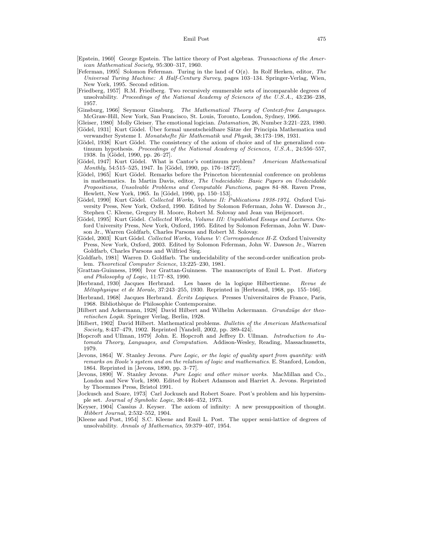- [Epstein, 1960] George Epstein. The lattice theory of Post algebras. Transactions of the American Mathematical Society, 95:300–317, 1960.
- [Feferman, 1995] Solomon Feferman. Turing in the land of  $O(z)$ . In Rolf Herken, editor, The Universal Turing Machine: A Half-Century Survey, pages 103–134. Springer-Verlag, Wien, New York, 1995. Second edition.
- [Friedberg, 1957] R.M. Friedberg. Two recursively enumerable sets of incomparable degrees of unsolvability. Proceedings of the National Academy of Sciences of the U.S.A., 43:236–238, 1957.
- [Ginsburg, 1966] Seymour Ginsburg. The Mathematical Theory of Context-free Languages. McGraw-Hill, New York, San Francisco, St. Louis, Toronto, London, Sydney, 1966.
- [Gleiser, 1980] Molly Gleiser. The emotional logician. Datamation, 26, Number 3:221–223, 1980. [Gödel, 1931] Kurt Gödel. Über formal unentscheidbare Sätze der Principia Mathematica und
- verwandter Systeme I. Monatshefte für Mathematik und Physik, 38:173-198, 1931.
- [Gödel, 1938] Kurt Gödel. The consistency of the axiom of choice and of the generalized continuum hypothesis. Proceedings of the National Academy of Sciences, U.S.A., 24:556-557, 1938. In [Gödel, 1990, pp. 26–27].
- [Gödel, 1947] Kurt Gödel. What is Cantor's continuum problem? American Mathematical Monthly, 54:515–525, 1947. In [Gödel, 1990, pp. 176–18727].
- [Gödel, 1965] Kurt Gödel. Remarks before the Princeton bicentennial conference on problems in mathematics. In Martin Davis, editor, The Undecidable: Basic Papers on Undecidable Propositions, Unsolvable Problems and Computable Functions, pages 84–88. Raven Press, Hewlett, New York, 1965. In [Gödel, 1990, pp. 150-153].
- [Gödel, 1990] Kurt Gödel. Collected Works, Volume II: Publications 1938-1974. Oxford University Press, New York, Oxford, 1990. Edited by Solomon Feferman, John W. Dawson Jr., Stephen C. Kleene, Gregory H. Moore, Robert M. Solovay and Jean van Heijenoort.
- [Gödel, 1995] Kurt Gödel. Collected Works, Volume III: Unpublished Essays and Lectures. Oxford University Press, New York, Oxford, 1995. Edited by Solomon Feferman, John W. Dawson Jr., Warren Goldfarb, Charles Parsons and Robert M. Solovay.
- [Gödel, 2003] Kurt Gödel. Collected Works, Volume V: Correspondence H-Z. Oxford University Press, New York, Oxford, 2003. Edited by Solomon Feferman, John W. Dawson Jr., Warren Goldfarb, Charles Parsons and Wilfried Sieg.
- [Goldfarb, 1981] Warren D. Goldfarb. The undecidability of the second-order unification problem. Theoretical Computer Science, 13:225–230, 1981.
- [Grattan-Guinness, 1990] Ivor Grattan-Guinness. The manuscripts of Emil L. Post. History and Philosophy of Logic, 11:77–83, 1990.
- [Herbrand, 1930] Jacques Herbrand. Les bases de la logique Hilbertienne. Revue de M´etaphysique et de Morale, 37:243–255, 1930. Reprinted in [Herbrand, 1968, pp. 155–166].
- [Herbrand, 1968] Jacques Herbrand. Écrits Logiques. Presses Universitaires de France, Paris, 1968. Bibliothèque de Philosophie Contemporaine.
- [Hilbert and Ackermann, 1928] David Hilbert and Wilhelm Ackermann. Grundzüge der theoretischen Logik. Springer Verlag, Berlin, 1928.
- [Hilbert, 1902] David Hilbert. Mathematical problems. Bulletin of the American Mathematical Society, 8:437–479, 1902. Reprinted [Yandell, 2002, pp. 389-424].
- [Hopcroft and Ullman, 1979] John. E. Hopcroft and Jeffrey D. Ullman. Introduction to Automata Theory, Languages, and Computation. Addison-Wesley, Reading, Massachussetts, 1979.
- [Jevons, 1864] W. Stanley Jevons. Pure Logic, or the logic of quality apart from quantity: with remarks on Boole's system and on the relation of logic and mathematics. E. Stanford, London, 1864. Reprinted in [Jevons, 1890, pp. 3–77].
- [Jevons, 1890] W. Stanley Jevons. Pure Logic and other minor works. MacMillan and Co., London and New York, 1890. Edited by Robert Adamson and Harriet A. Jevons. Reprinted by Thoemmes Press, Bristol 1991.
- [Jockusch and Soare, 1973] Carl Jockusch and Robert Soare. Post's problem and his hypersimple set. Journal of Symbolic Logic, 38:446–452, 1973.
- [Keyser, 1904] Cassius J. Keyser. The axiom of infinity: A new presupposition of thought. Hibbert Journal, 2:532–552, 1904.
- [Kleene and Post, 1954] S.C. Kleene and Emil L. Post. The upper semi-lattice of degrees of unsolvability. Annals of Mathematics, 59:379–407, 1954.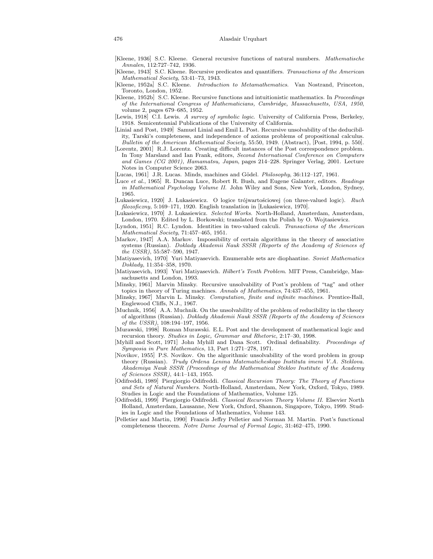#### 476 Alasdair Urquhart

- [Kleene, 1936] S.C. Kleene. General recursive functions of natural numbers. Mathematische Annalen, 112:727–742, 1936.
- [Kleene, 1943] S.C. Kleene. Recursive predicates and quantifiers. Transactions of the American Mathematical Society, 53:41–73, 1943.
- [Kleene, 1952a] S.C. Kleene. Introduction to Metamathematics. Van Nostrand, Princeton, Toronto, London, 1952.
- [Kleene, 1952b] S.C. Kleene. Recursive functions and intuitionistic mathematics. In Proceedings of the International Congress of Mathematicians, Cambridge, Massachusetts, USA, 1950, volume 2, pages 679–685, 1952.
- [Lewis, 1918] C.I. Lewis. A survey of symbolic logic. University of California Press, Berkeley, 1918. Semicentennial Publications of the University of California.
- [Linial and Post, 1949] Samuel Linial and Emil L. Post. Recursive unsolvability of the deducibility, Tarski's completeness, and independence of axioms problems of propositional calculus. Bulletin of the American Mathematical Society, 55:50, 1949. (Abstract), [Post, 1994, p. 550].
- [Lorentz, 2001] R.J. Lorentz. Creating difficult instances of the Post correspondence problem. In Tony Marsland and Ian Frank, editors, Second International Conference on Computers and Games (CG 2001), Hamamatsu, Japan, pages 214–228. Springer Verlag, 2001. Lecture Notes in Computer Science 2063.
- [Lucas, 1961] J.R. Lucas. Minds, machines and Gödel. *Philosophy*, 36:112–127, 1961.
- [Luce et al., 1965] R. Duncan Luce, Robert R. Bush, and Eugene Galanter, editors. Readings in Mathematical Psychology Volume II. John Wiley and Sons, New York, London, Sydney, 1965.
- [Lukasiewicz, 1920] J. Lukasiewicz. O logice trójwartościowej (on three-valued logic). Ruch  $filozoficzny, 5:169–171, 1920.$  English translation in [Lukasiewicz, 1970].
- [Lukasiewicz, 1970] J. Lukasiewicz. Selected Works. North-Holland, Amsterdam, Amsterdam, London, 1970. Edited by L. Borkowski; translated from the Polish by O. Wojtasiewicz.
- [Lyndon, 1951] R.C. Lyndon. Identities in two-valued calculi. Transactions of the American Mathematical Society, 71:457–465, 1951.
- [Markov, 1947] A.A. Markov. Impossibility of certain algorithms in the theory of associative systems (Russian). Doklady Akademii Nauk SSSR (Reports of the Academy of Sciences of the USSR), 55:587–590, 1947.
- [Matiyasevich, 1970] Yuri Matiyasevich. Enumerable sets are diophantine. Soviet Mathematics Doklady, 11:354–358, 1970.
- [Matiyasevich, 1993] Yuri Matiyasevich. Hilbert's Tenth Problem. MIT Press, Cambridge, Massachusetts and London, 1993.
- [Minsky, 1961] Marvin Minsky. Recursive unsolvability of Post's problem of "tag" and other topics in theory of Turing machines. Annals of Mathematics, 74:437–455, 1961.
- [Minsky, 1967] Marvin L. Minsky. Computation, finite and infinite machines. Prentice-Hall, Englewood Cliffs, N.J., 1967.
- [Muchnik, 1956] A.A. Muchnik. On the unsolvability of the problem of reducibility in the theory of algorithms (Russian). Doklady Akademii Nauk SSSR (Reports of the Academy of Sciences of the USSR), 108:194–197, 1956.
- [Murawski, 1998] Roman Murawski. E.L. Post and the development of mathematical logic and recursion theory. Studies in Logic, Grammar and Rhetoric, 2:17–30, 1998.
- [Myhill and Scott, 1971] John Myhill and Dana Scott. Ordinal definability. Proceedings of Symposia in Pure Mathematics, 13, Part 1:271–278, 1971.
- [Novikov, 1955] P.S. Novikov. On the algorithmic unsolvability of the word problem in group theory (Russian). Trudy Ordena Lenina Matematicheskogo Instituta imeni V.A. Steklova. Akademiya Nauk SSSR (Proceedings of the Mathematical Steklov Institute of the Academy of Sciences SSSR), 44:1–143, 1955.
- [Odifreddi, 1989] Piergiorgio Odifreddi. Classical Recursion Theory: The Theory of Functions and Sets of Natural Numbers. North-Holland, Amsterdam, New York, Oxford, Tokyo, 1989. Studies in Logic and the Foundations of Mathematics, Volume 125.
- [Odifreddi, 1999] Piergiorgio Odifreddi. Classical Recursion Theory Volume II. Elsevier North Holland, Amsterdam, Lausanne, New York, Oxford, Shannon, Singapore, Tokyo, 1999. Studies in Logic and the Foundations of Mathematics, Volume 143.
- [Pelletier and Martin, 1990] Francis Jeffry Pelletier and Norman M. Martin. Post's functional completeness theorem. Notre Dame Journal of Formal Logic, 31:462–475, 1990.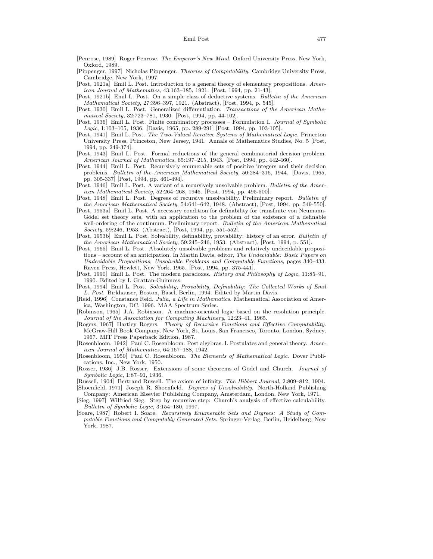[Penrose, 1989] Roger Penrose. The Emperor's New Mind. Oxford University Press, New York, Oxford, 1989.

- [Pippenger, 1997] Nicholas Pippenger. Theories of Computability. Cambridge University Press, Cambridge, New York, 1997.
- [Post, 1921a] Emil L. Post. Introduction to a general theory of elementary propositions. American Journal of Mathematics, 43:163–185, 1921. [Post, 1994, pp. 21-43].
- [Post, 1921b] Emil L. Post. On a simple class of deductive systems. Bulletin of the American Mathematical Society, 27:396–397, 1921. (Abstract), [Post, 1994, p. 545].
- [Post, 1930] Emil L. Post. Generalized differentiation. Transactions of the American Mathematical Society, 32:723–781, 1930. [Post, 1994, pp. 44-102].
- [Post, 1936] Emil L. Post. Finite combinatory processes Formulation I. Journal of Symbolic Logic, 1:103–105, 1936. [Davis, 1965, pp. 289-291] [Post, 1994, pp. 103-105].
- [Post, 1941] Emil L. Post. The Two-Valued Iterative Systems of Mathematical Logic. Princeton University Press, Princeton, New Jersey, 1941. Annals of Mathematics Studies, No. 5 [Post, 1994, pp. 249-374].
- [Post, 1943] Emil L. Post. Formal reductions of the general combinatorial decision problem. American Journal of Mathematics, 65:197–215, 1943. [Post, 1994, pp. 442-460].
- [Post, 1944] Emil L. Post. Recursively enumerable sets of positive integers and their decision problems. Bulletin of the American Mathematical Society, 50:284–316, 1944. [Davis, 1965, pp. 305-337] [Post, 1994, pp. 461-494].
- [Post, 1946] Emil L. Post. A variant of a recursively unsolvable problem. Bulletin of the American Mathematical Society, 52:264–268, 1946. [Post, 1994, pp. 495-500].
- [Post, 1948] Emil L. Post. Degrees of recursive unsolvability. Preliminary report. Bulletin of the American Mathematical Society, 54:641–642, 1948. (Abstract), [Post, 1994, pp. 549-550].
- [Post, 1953a] Emil L. Post. A necessary condition for definability for transfinite von Neumann-Gödel set theory sets, with an application to the problem of the existence of a definable well-ordering of the continuum. Preliminary report. Bulletin of the American Mathematical Society, 59:246, 1953. (Abstract), [Post, 1994, pp. 551-552].
- [Post, 1953b] Emil L. Post. Solvability, definability, provability: history of an error. Bulletin of the American Mathematical Society, 59:245–246, 1953. (Abstract), [Post, 1994, p. 551].
- [Post, 1965] Emil L. Post. Absolutely unsolvable problems and relatively undecidable propositions – account of an anticipation. In Martin Davis, editor, The Undecidable: Basic Papers on Undecidable Propositions, Unsolvable Problems and Computable Functions, pages 340–433. Raven Press, Hewlett, New York, 1965. [Post, 1994, pp. 375-441].
- [Post, 1990] Emil L. Post. The modern paradoxes. History and Philosophy of Logic, 11:85–91, 1990. Edited by I. Grattan-Guinness.
- [Post, 1994] Emil L. Post. Solvability, Provability, Definability: The Collected Works of Emil L. Post. Birkhäuser, Boston, Basel, Berlin, 1994. Edited by Martin Davis.
- [Reid, 1996] Constance Reid. Julia, a Life in Mathematics. Mathematical Association of America, Washington, DC, 1996. MAA Spectrum Series.
- [Robinson, 1965] J.A. Robinson. A machine-oriented logic based on the resolution principle. Journal of the Association for Computing Machinery, 12:23–41, 1965.
- [Rogers, 1967] Hartley Rogers. Theory of Recursive Functions and Effective Computability. McGraw-Hill Book Company, New York, St. Louis, San Francisco, Toronto, London, Sydney, 1967. MIT Press Paperback Edition, 1987.
- [Rosenbloom, 1942] Paul C. Rosenbloom. Post algebras. I. Postulates and general theory. American Journal of Mathematics, 64:167–188, 1942.
- [Rosenbloom, 1950] Paul C. Rosenbloom. The Elements of Mathematical Logic. Dover Publications, Inc., New York, 1950.
- [Rosser, 1936] J.B. Rosser. Extensions of some theorems of Gödel and Church. Journal of Symbolic Logic, 1:87–91, 1936.
- [Russell, 1904] Bertrand Russell. The axiom of infinity. The Hibbert Journal, 2:809–812, 1904. [Shoenfield, 1971] Joseph R. Shoenfield. Degrees of Unsolvability. North-Holland Publishing
- Company: American Elsevier Publishing Company, Amsterdam, London, New York, 1971. [Sieg, 1997] Wilfried Sieg. Step by recursive step: Church's analysis of effective calculability. Bulletin of Symbolic Logic, 3:154–180, 1997.
- [Soare, 1987] Robert I. Soare. Recursively Enumerable Sets and Degrees: A Study of Computable Functions and Computably Generated Sets. Springer-Verlag, Berlin, Heidelberg, New York, 1987.